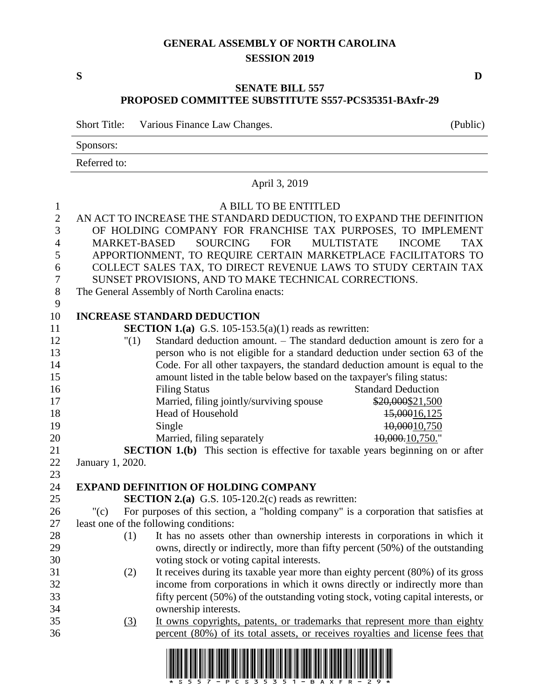### **GENERAL ASSEMBLY OF NORTH CAROLINA SESSION 2019**

**S D**

### **SENATE BILL 557 PROPOSED COMMITTEE SUBSTITUTE S557-PCS35351-BAxfr-29**

Short Title: Various Finance Law Changes. (Public)

Sponsors:

Referred to:

## April 3, 2019 A BILL TO BE ENTITLED AN ACT TO INCREASE THE STANDARD DEDUCTION, TO EXPAND THE DEFINITION OF HOLDING COMPANY FOR FRANCHISE TAX PURPOSES, TO IMPLEMENT MARKET-BASED SOURCING FOR MULTISTATE INCOME TAX APPORTIONMENT, TO REQUIRE CERTAIN MARKETPLACE FACILITATORS TO COLLECT SALES TAX, TO DIRECT REVENUE LAWS TO STUDY CERTAIN TAX SUNSET PROVISIONS, AND TO MAKE TECHNICAL CORRECTIONS. The General Assembly of North Carolina enacts: **INCREASE STANDARD DEDUCTION SECTION 1.(a)** G.S. 105-153.5(a)(1) reads as rewritten: "(1) Standard deduction amount. – The standard deduction amount is zero for a person who is not eligible for a standard deduction under section 63 of the Code. For all other taxpayers, the standard deduction amount is equal to the amount listed in the table below based on the taxpayer's filing status: 16 Filing Status Filing Status Standard Deduction 17 Married, filing jointly/surviving spouse \$20,000\$21,500 18 Head of Household 15,00016,125 19 Single 10,00010,750 20 Married, filing separately 10,000.10,750." **SECTION 1.(b)** This section is effective for taxable years beginning on or after January 1, 2020. **EXPAND DEFINITION OF HOLDING COMPANY SECTION 2.(a)** G.S. 105-120.2(c) reads as rewritten: "(c) For purposes of this section, a "holding company" is a corporation that satisfies at least one of the following conditions: (1) It has no assets other than ownership interests in corporations in which it owns, directly or indirectly, more than fifty percent (50%) of the outstanding voting stock or voting capital interests. (2) It receives during its taxable year more than eighty percent (80%) of its gross income from corporations in which it owns directly or indirectly more than fifty percent (50%) of the outstanding voting stock, voting capital interests, or ownership interests. (3) It owns copyrights, patents, or trademarks that represent more than eighty percent (80%) of its total assets, or receives royalties and license fees that

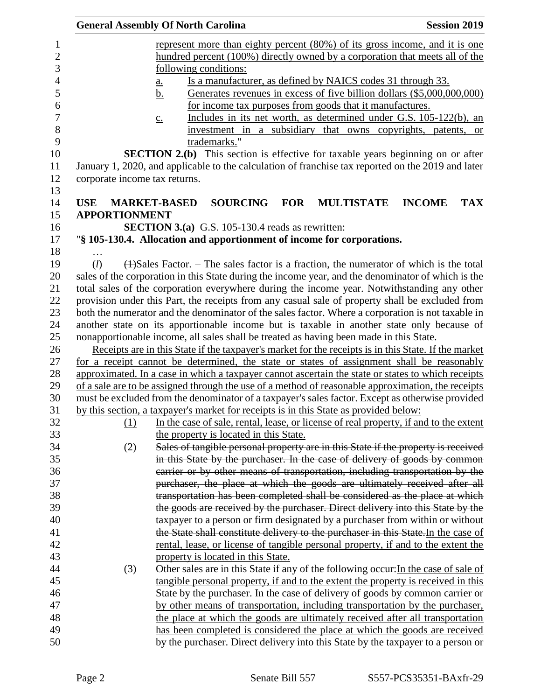| <b>Session 2019</b><br><b>General Assembly Of North Carolina</b>                                                                                                                                         |            |
|----------------------------------------------------------------------------------------------------------------------------------------------------------------------------------------------------------|------------|
| represent more than eighty percent (80%) of its gross income, and it is one                                                                                                                              |            |
| hundred percent (100%) directly owned by a corporation that meets all of the<br><u>following conditions:</u>                                                                                             |            |
| Is a manufacturer, as defined by NAICS codes 31 through 33.<br>a.                                                                                                                                        |            |
| Generates revenues in excess of five billion dollars (\$5,000,000,000)<br><u>b.</u>                                                                                                                      |            |
| for income tax purposes from goods that it manufactures.                                                                                                                                                 |            |
| Includes in its net worth, as determined under G.S. 105-122(b), an<br>$\underline{c}$ .                                                                                                                  |            |
| investment in a subsidiary that owns copyrights, patents, or                                                                                                                                             |            |
| trademarks."                                                                                                                                                                                             |            |
| <b>SECTION 2.(b)</b> This section is effective for taxable years beginning on or after                                                                                                                   |            |
| January 1, 2020, and applicable to the calculation of franchise tax reported on the 2019 and later                                                                                                       |            |
| corporate income tax returns.                                                                                                                                                                            |            |
|                                                                                                                                                                                                          |            |
| <b>USE</b><br><b>SOURCING</b><br><b>MULTISTATE</b><br><b>INCOME</b><br><b>MARKET-BASED</b><br><b>FOR</b>                                                                                                 | <b>TAX</b> |
| <b>APPORTIONMENT</b>                                                                                                                                                                                     |            |
| <b>SECTION 3.(a)</b> G.S. 105-130.4 reads as rewritten:                                                                                                                                                  |            |
| "§ 105-130.4. Allocation and apportionment of income for corporations.                                                                                                                                   |            |
|                                                                                                                                                                                                          |            |
| $\left(\frac{1}{2}\right)$ Sales Factor. – The sales factor is a fraction, the numerator of which is the total<br>(l)                                                                                    |            |
| sales of the corporation in this State during the income year, and the denominator of which is the                                                                                                       |            |
| total sales of the corporation everywhere during the income year. Notwithstanding any other                                                                                                              |            |
| provision under this Part, the receipts from any casual sale of property shall be excluded from                                                                                                          |            |
| both the numerator and the denominator of the sales factor. Where a corporation is not taxable in                                                                                                        |            |
| another state on its apportionable income but is taxable in another state only because of                                                                                                                |            |
| nonapportionable income, all sales shall be treated as having been made in this State.                                                                                                                   |            |
| Receipts are in this State if the taxpayer's market for the receipts is in this State. If the market                                                                                                     |            |
| for a receipt cannot be determined, the state or states of assignment shall be reasonably                                                                                                                |            |
| approximated. In a case in which a taxpayer cannot ascertain the state or states to which receipts<br>of a sale are to be assigned through the use of a method of reasonable approximation, the receipts |            |
| must be excluded from the denominator of a taxpayer's sales factor. Except as otherwise provided                                                                                                         |            |
| by this section, a taxpayer's market for receipts is in this State as provided below:                                                                                                                    |            |
| In the case of sale, rental, lease, or license of real property, if and to the extent<br>(1)                                                                                                             |            |
| the property is located in this State.                                                                                                                                                                   |            |
| Sales of tangible personal property are in this State if the property is received<br>(2)                                                                                                                 |            |
| in this State by the purchaser. In the case of delivery of goods by common                                                                                                                               |            |
| carrier or by other means of transportation, including transportation by the                                                                                                                             |            |
| purchaser, the place at which the goods are ultimately received after all                                                                                                                                |            |
| transportation has been completed shall be considered as the place at which                                                                                                                              |            |
| the goods are received by the purchaser. Direct delivery into this State by the                                                                                                                          |            |
| taxpayer to a person or firm designated by a purchaser from within or without                                                                                                                            |            |
| the State shall constitute delivery to the purchaser in this State. In the case of                                                                                                                       |            |
| rental, lease, or license of tangible personal property, if and to the extent the                                                                                                                        |            |
| property is located in this State.                                                                                                                                                                       |            |
| Other sales are in this State if any of the following occur: In the case of sale of<br>(3)                                                                                                               |            |
| tangible personal property, if and to the extent the property is received in this                                                                                                                        |            |
| State by the purchaser. In the case of delivery of goods by common carrier or                                                                                                                            |            |
| by other means of transportation, including transportation by the purchaser,                                                                                                                             |            |
| the place at which the goods are ultimately received after all transportation                                                                                                                            |            |
| has been completed is considered the place at which the goods are received                                                                                                                               |            |
| by the purchaser. Direct delivery into this State by the taxpayer to a person or                                                                                                                         |            |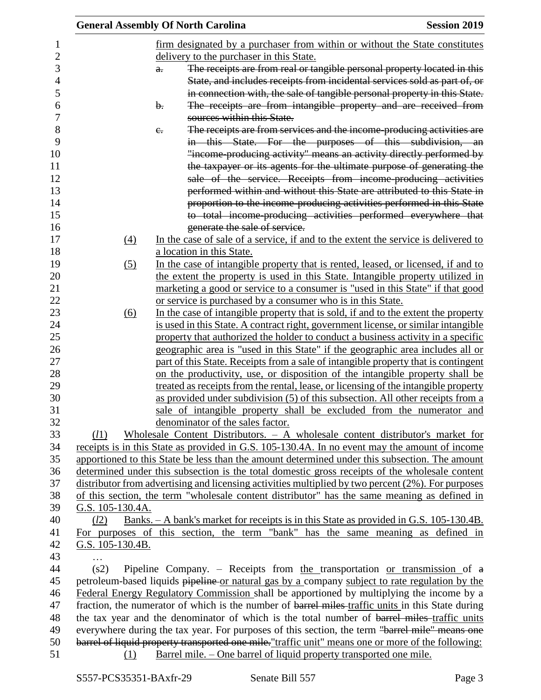|                   |                | <b>General Assembly Of North Carolina</b>                                                                                                                                                        | <b>Session 2019</b>                                                       |
|-------------------|----------------|--------------------------------------------------------------------------------------------------------------------------------------------------------------------------------------------------|---------------------------------------------------------------------------|
|                   |                | firm designated by a purchaser from within or without the State constitutes                                                                                                                      |                                                                           |
|                   |                | delivery to the purchaser in this State.                                                                                                                                                         |                                                                           |
|                   | $\theta$ .     |                                                                                                                                                                                                  | The receipts are from real or tangible personal property located in this  |
|                   |                |                                                                                                                                                                                                  | State, and includes receipts from incidental services sold as part of, or |
|                   |                |                                                                                                                                                                                                  | in connection with, the sale of tangible personal property in this State. |
|                   | $\mathbf{b}$ . |                                                                                                                                                                                                  | The receipts are from intangible property and are received from           |
|                   |                | sources within this State.                                                                                                                                                                       |                                                                           |
|                   | $e_{i}$        |                                                                                                                                                                                                  | The receipts are from services and the income-producing activities are    |
|                   |                |                                                                                                                                                                                                  | in this State. For the purposes of this subdivision, an                   |
|                   |                |                                                                                                                                                                                                  | "income-producing activity" means an activity directly performed by       |
|                   |                |                                                                                                                                                                                                  | the taxpayer or its agents for the ultimate purpose of generating the     |
|                   |                |                                                                                                                                                                                                  | sale of the service. Receipts from income-producing activities            |
|                   |                |                                                                                                                                                                                                  | performed within and without this State are attributed to this State in   |
|                   |                |                                                                                                                                                                                                  | proportion to the income-producing activities performed in this State     |
|                   |                |                                                                                                                                                                                                  | to total income-producing activities performed everywhere that            |
|                   |                | generate the sale of service.                                                                                                                                                                    |                                                                           |
| (4)               |                | In the case of sale of a service, if and to the extent the service is delivered to                                                                                                               |                                                                           |
|                   |                | a location in this State.                                                                                                                                                                        |                                                                           |
| (5)               |                | In the case of intangible property that is rented, leased, or licensed, if and to                                                                                                                |                                                                           |
|                   |                | the extent the property is used in this State. Intangible property utilized in                                                                                                                   |                                                                           |
|                   |                | marketing a good or service to a consumer is "used in this State" if that good                                                                                                                   |                                                                           |
|                   |                | or service is purchased by a consumer who is in this State.                                                                                                                                      |                                                                           |
| $\underline{(6)}$ |                | In the case of intangible property that is sold, if and to the extent the property                                                                                                               |                                                                           |
|                   |                | is used in this State. A contract right, government license, or similar intangible                                                                                                               |                                                                           |
|                   |                | property that authorized the holder to conduct a business activity in a specific                                                                                                                 |                                                                           |
|                   |                | geographic area is "used in this State" if the geographic area includes all or                                                                                                                   |                                                                           |
|                   |                | part of this State. Receipts from a sale of intangible property that is contingent                                                                                                               |                                                                           |
|                   |                | on the productivity, use, or disposition of the intangible property shall be                                                                                                                     |                                                                           |
|                   |                | treated as receipts from the rental, lease, or licensing of the intangible property                                                                                                              |                                                                           |
|                   |                | as provided under subdivision (5) of this subsection. All other receipts from a                                                                                                                  |                                                                           |
|                   |                | sale of intangible property shall be excluded from the numerator and                                                                                                                             |                                                                           |
|                   |                | denominator of the sales factor.                                                                                                                                                                 |                                                                           |
| (l1)              |                | Wholesale Content Distributors. - A wholesale content distributor's market for                                                                                                                   |                                                                           |
|                   |                | receipts is in this State as provided in G.S. 105-130.4A. In no event may the amount of income                                                                                                   |                                                                           |
|                   |                | apportioned to this State be less than the amount determined under this subsection. The amount                                                                                                   |                                                                           |
|                   |                | determined under this subsection is the total domestic gross receipts of the wholesale content                                                                                                   |                                                                           |
|                   |                | distributor from advertising and licensing activities multiplied by two percent (2%). For purposes                                                                                               |                                                                           |
|                   |                | of this section, the term "wholesale content distributor" has the same meaning as defined in                                                                                                     |                                                                           |
| G.S. 105-130.4A.  |                |                                                                                                                                                                                                  |                                                                           |
| (l2)              |                | <u>Banks. – A bank's market for receipts is in this State as provided in G.S. 105-130.4B.</u>                                                                                                    |                                                                           |
|                   |                | For purposes of this section, the term "bank" has the same meaning as defined in                                                                                                                 |                                                                           |
| G.S. 105-130.4B.  |                |                                                                                                                                                                                                  |                                                                           |
|                   |                |                                                                                                                                                                                                  |                                                                           |
| (s2)              |                | Pipeline Company. – Receipts from the transportation or transmission of $a$                                                                                                                      |                                                                           |
|                   |                | petroleum-based liquids pipeline or natural gas by a company subject to rate regulation by the                                                                                                   |                                                                           |
|                   |                | Federal Energy Regulatory Commission shall be apportioned by multiplying the income by a                                                                                                         |                                                                           |
|                   |                | fraction, the numerator of which is the number of barrel miles-traffic units in this State during<br>the tax year and the denominator of which is the total number of barrel miles-traffic units |                                                                           |
|                   |                | everywhere during the tax year. For purposes of this section, the term "barrel mile" means one                                                                                                   |                                                                           |
|                   |                | barrel of liquid property transported one mile. "traffic unit" means one or more of the following:                                                                                               |                                                                           |
| (1)               |                | <u>Barrel mile. – One barrel of liquid property transported one mile.</u>                                                                                                                        |                                                                           |
|                   |                |                                                                                                                                                                                                  |                                                                           |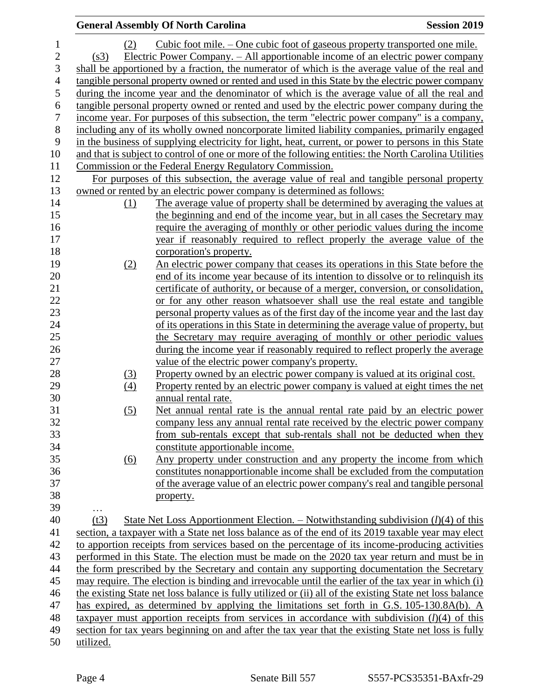|                  | <b>General Assembly Of North Carolina</b>                                                                                                                    | <b>Session 2019</b> |
|------------------|--------------------------------------------------------------------------------------------------------------------------------------------------------------|---------------------|
| (2)              | Cubic foot mile. – One cubic foot of gaseous property transported one mile.                                                                                  |                     |
| (s3)             | <u> Electric Power Company. – All apportionable income of an electric power company</u>                                                                      |                     |
|                  | shall be apportioned by a fraction, the numerator of which is the average value of the real and                                                              |                     |
|                  | tangible personal property owned or rented and used in this State by the electric power company                                                              |                     |
|                  | during the income year and the denominator of which is the average value of all the real and                                                                 |                     |
|                  | tangible personal property owned or rented and used by the electric power company during the                                                                 |                     |
|                  | income year. For purposes of this subsection, the term "electric power company" is a company,                                                                |                     |
|                  | including any of its wholly owned noncorporate limited liability companies, primarily engaged                                                                |                     |
|                  | in the business of supplying electricity for light, heat, current, or power to persons in this State                                                         |                     |
|                  | and that is subject to control of one or more of the following entities: the North Carolina Utilities                                                        |                     |
|                  | Commission or the Federal Energy Regulatory Commission.                                                                                                      |                     |
|                  | For purposes of this subsection, the average value of real and tangible personal property                                                                    |                     |
|                  | owned or rented by an electric power company is determined as follows:                                                                                       |                     |
| (1)              | The average value of property shall be determined by averaging the values at                                                                                 |                     |
|                  | the beginning and end of the income year, but in all cases the Secretary may                                                                                 |                     |
|                  | require the averaging of monthly or other periodic values during the income                                                                                  |                     |
|                  | year if reasonably required to reflect properly the average value of the                                                                                     |                     |
|                  | corporation's property.                                                                                                                                      |                     |
| (2)              | An electric power company that ceases its operations in this State before the                                                                                |                     |
|                  | end of its income year because of its intention to dissolve or to relinquish its                                                                             |                     |
|                  | certificate of authority, or because of a merger, conversion, or consolidation,                                                                              |                     |
|                  | or for any other reason whatsoever shall use the real estate and tangible                                                                                    |                     |
|                  | personal property values as of the first day of the income year and the last day                                                                             |                     |
|                  | of its operations in this State in determining the average value of property, but                                                                            |                     |
|                  | the Secretary may require averaging of monthly or other periodic values                                                                                      |                     |
|                  | during the income year if reasonably required to reflect properly the average                                                                                |                     |
|                  | value of the electric power company's property.                                                                                                              |                     |
| (3)              | Property owned by an electric power company is valued at its original cost.                                                                                  |                     |
| (4)              | Property rented by an electric power company is valued at eight times the net                                                                                |                     |
|                  | annual rental rate.                                                                                                                                          |                     |
| (5)              | Net annual rental rate is the annual rental rate paid by an electric power                                                                                   |                     |
|                  | company less any annual rental rate received by the electric power company                                                                                   |                     |
|                  | from sub-rentals except that sub-rentals shall not be deducted when they                                                                                     |                     |
|                  | constitute apportionable income.                                                                                                                             |                     |
| (6)              | Any property under construction and any property the income from which                                                                                       |                     |
|                  | constitutes nonapportionable income shall be excluded from the computation<br>of the average value of an electric power company's real and tangible personal |                     |
|                  |                                                                                                                                                              |                     |
|                  | property.                                                                                                                                                    |                     |
| $\cdots$<br>(t3) | State Net Loss Apportionment Election. – Notwithstanding subdivision $(l)(4)$ of this                                                                        |                     |
|                  | section, a taxpayer with a State net loss balance as of the end of its 2019 taxable year may elect                                                           |                     |
|                  | to apportion receipts from services based on the percentage of its income-producing activities                                                               |                     |
|                  | performed in this State. The election must be made on the 2020 tax year return and must be in                                                                |                     |
|                  | the form prescribed by the Secretary and contain any supporting documentation the Secretary                                                                  |                     |
|                  | may require. The election is binding and irrevocable until the earlier of the tax year in which (i)                                                          |                     |
|                  | the existing State net loss balance is fully utilized or (ii) all of the existing State net loss balance                                                     |                     |
|                  | has expired, as determined by applying the limitations set forth in G.S. 105-130.8A(b). A                                                                    |                     |
|                  | taxpayer must apportion receipts from services in accordance with subdivision $(l)(4)$ of this                                                               |                     |
|                  | section for tax years beginning on and after the tax year that the existing State net loss is fully                                                          |                     |
| utilized.        |                                                                                                                                                              |                     |
|                  |                                                                                                                                                              |                     |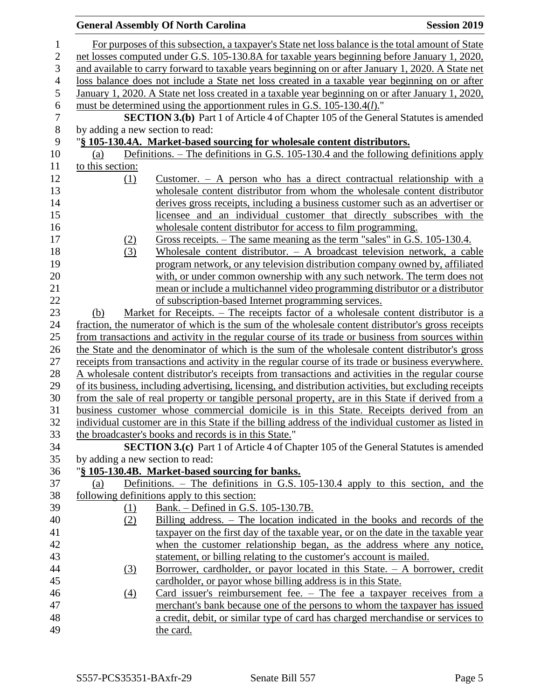### **General Assembly Of North Carolina Session 2019 Session 2019**  For purposes of this subsection, a taxpayer's State net loss balance is the total amount of State net losses computed under G.S. 105-130.8A for taxable years beginning before January 1, 2020, and available to carry forward to taxable years beginning on or after January 1, 2020. A State net loss balance does not include a State net loss created in a taxable year beginning on or after January 1, 2020. A State net loss created in a taxable year beginning on or after January 1, 2020, must be determined using the apportionment rules in G.S. 105-130.4(*l*)." **SECTION 3.(b)** Part 1 of Article 4 of Chapter 105 of the General Statutes is amended by adding a new section to read: "**§ 105-130.4A. Market-based sourcing for wholesale content distributors.** (a) Definitions. – The definitions in G.S. 105-130.4 and the following definitions apply to this section: (1) Customer. – A person who has a direct contractual relationship with a wholesale content distributor from whom the wholesale content distributor derives gross receipts, including a business customer such as an advertiser or licensee and an individual customer that directly subscribes with the wholesale content distributor for access to film programming. (2) Gross receipts. – The same meaning as the term "sales" in G.S. 105-130.4. (3) Wholesale content distributor. – A broadcast television network, a cable program network, or any television distribution company owned by, affiliated with, or under common ownership with any such network. The term does not mean or include a multichannel video programming distributor or a distributor of subscription-based Internet programming services. (b) Market for Receipts. – The receipts factor of a wholesale content distributor is a fraction, the numerator of which is the sum of the wholesale content distributor's gross receipts from transactions and activity in the regular course of its trade or business from sources within the State and the denominator of which is the sum of the wholesale content distributor's gross receipts from transactions and activity in the regular course of its trade or business everywhere. 28 A wholesale content distributor's receipts from transactions and activities in the regular course of its business, including advertising, licensing, and distribution activities, but excluding receipts from the sale of real property or tangible personal property, are in this State if derived from a business customer whose commercial domicile is in this State. Receipts derived from an individual customer are in this State if the billing address of the individual customer as listed in the broadcaster's books and records is in this State." **SECTION 3.(c)** Part 1 of Article 4 of Chapter 105 of the General Statutes is amended by adding a new section to read: "**§ 105-130.4B. Market-based sourcing for banks.** (a) Definitions. – The definitions in G.S. 105-130.4 apply to this section, and the following definitions apply to this section: (1) Bank. – Defined in G.S. 105-130.7B. (2) Billing address. – The location indicated in the books and records of the taxpayer on the first day of the taxable year, or on the date in the taxable year when the customer relationship began, as the address where any notice, statement, or billing relating to the customer's account is mailed. (3) Borrower, cardholder, or payor located in this State. – A borrower, credit cardholder, or payor whose billing address is in this State. (4) Card issuer's reimbursement fee. – The fee a taxpayer receives from a merchant's bank because one of the persons to whom the taxpayer has issued a credit, debit, or similar type of card has charged merchandise or services to the card.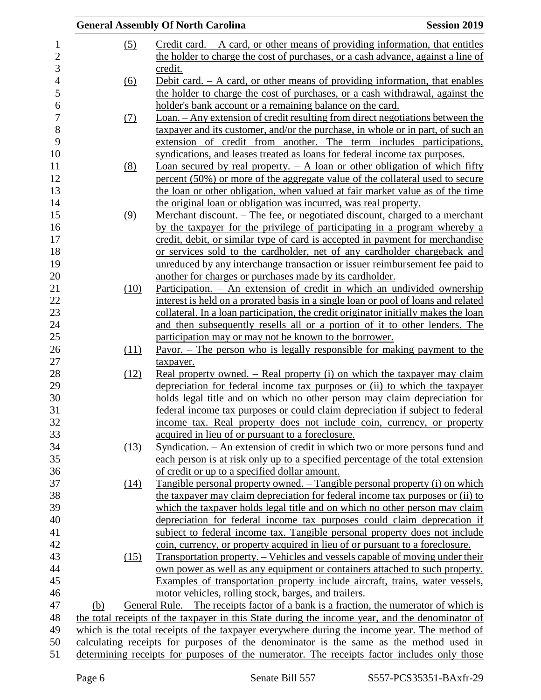|                  |                                                                                             | <b>General Assembly Of North Carolina</b>                                                                                                                  | <b>Session 2019</b> |  |  |
|------------------|---------------------------------------------------------------------------------------------|------------------------------------------------------------------------------------------------------------------------------------------------------------|---------------------|--|--|
| $\mathbf{1}$     | (5)                                                                                         | Credit card. $- A$ card, or other means of providing information, that entitles                                                                            |                     |  |  |
| $\overline{2}$   |                                                                                             | the holder to charge the cost of purchases, or a cash advance, against a line of                                                                           |                     |  |  |
| 3                |                                                                                             | credit.                                                                                                                                                    |                     |  |  |
| $\overline{4}$   | $\underline{(6)}$                                                                           | Debit card. $-$ A card, or other means of providing information, that enables                                                                              |                     |  |  |
| 5                |                                                                                             | the holder to charge the cost of purchases, or a cash withdrawal, against the                                                                              |                     |  |  |
| 6                |                                                                                             | holder's bank account or a remaining balance on the card.                                                                                                  |                     |  |  |
| $\boldsymbol{7}$ | <u>(7)</u>                                                                                  | <u>Loan. – Any extension of credit resulting from direct negotiations between the</u>                                                                      |                     |  |  |
| $\,8\,$          |                                                                                             | taxpayer and its customer, and/or the purchase, in whole or in part, of such an                                                                            |                     |  |  |
| 9                |                                                                                             | extension of credit from another. The term includes participations,                                                                                        |                     |  |  |
| 10               |                                                                                             | syndications, and leases treated as loans for federal income tax purposes.                                                                                 |                     |  |  |
| 11               | (8)                                                                                         | Loan secured by real property. $-$ A loan or other obligation of which fifty                                                                               |                     |  |  |
| 12               |                                                                                             | percent (50%) or more of the aggregate value of the collateral used to secure                                                                              |                     |  |  |
| 13               |                                                                                             | the loan or other obligation, when valued at fair market value as of the time                                                                              |                     |  |  |
| 14               |                                                                                             | the original loan or obligation was incurred, was real property.                                                                                           |                     |  |  |
| 15               | (9)                                                                                         | <u>Merchant discount. – The fee, or negotiated discount, charged to a merchant</u>                                                                         |                     |  |  |
| 16               |                                                                                             | by the taxpayer for the privilege of participating in a program whereby a                                                                                  |                     |  |  |
| 17               |                                                                                             | credit, debit, or similar type of card is accepted in payment for merchandise                                                                              |                     |  |  |
| 18               |                                                                                             | or services sold to the cardholder, net of any cardholder chargeback and                                                                                   |                     |  |  |
| 19               |                                                                                             | unreduced by any interchange transaction or issuer reimbursement fee paid to                                                                               |                     |  |  |
| 20               |                                                                                             | another for charges or purchases made by its cardholder.                                                                                                   |                     |  |  |
| 21               | (10)                                                                                        | Participation. – An extension of credit in which an undivided ownership                                                                                    |                     |  |  |
| 22               |                                                                                             | interest is held on a prorated basis in a single loan or pool of loans and related                                                                         |                     |  |  |
| 23               |                                                                                             | collateral. In a loan participation, the credit originator initially makes the loan                                                                        |                     |  |  |
| 24               |                                                                                             | and then subsequently resells all or a portion of it to other lenders. The                                                                                 |                     |  |  |
| 25               |                                                                                             | participation may or may not be known to the borrower.                                                                                                     |                     |  |  |
| 26               | (11)                                                                                        | Payor. – The person who is legally responsible for making payment to the                                                                                   |                     |  |  |
| 27               |                                                                                             | taxpayer.                                                                                                                                                  |                     |  |  |
| 28               | (12)                                                                                        | Real property owned. – Real property (i) on which the taxpayer may claim                                                                                   |                     |  |  |
| 29               |                                                                                             | depreciation for federal income tax purposes or (ii) to which the taxpayer                                                                                 |                     |  |  |
| 30<br>31         |                                                                                             | holds legal title and on which no other person may claim depreciation for<br>federal income tax purposes or could claim depreciation if subject to federal |                     |  |  |
| 32               |                                                                                             | income tax. Real property does not include coin, currency, or property                                                                                     |                     |  |  |
| 33               |                                                                                             | acquired in lieu of or pursuant to a foreclosure.                                                                                                          |                     |  |  |
| 34               | (13)                                                                                        | Syndication. – An extension of credit in which two or more persons fund and                                                                                |                     |  |  |
| 35               |                                                                                             | each person is at risk only up to a specified percentage of the total extension                                                                            |                     |  |  |
| 36               |                                                                                             | of credit or up to a specified dollar amount.                                                                                                              |                     |  |  |
| 37               | (14)                                                                                        | Tangible personal property owned. – Tangible personal property (i) on which                                                                                |                     |  |  |
| 38               |                                                                                             | the taxpayer may claim depreciation for federal income tax purposes or (ii) to                                                                             |                     |  |  |
| 39               |                                                                                             | which the taxpayer holds legal title and on which no other person may claim                                                                                |                     |  |  |
| 40               |                                                                                             | depreciation for federal income tax purposes could claim deprecation if                                                                                    |                     |  |  |
| 41               |                                                                                             | subject to federal income tax. Tangible personal property does not include                                                                                 |                     |  |  |
| 42               |                                                                                             | coin, currency, or property acquired in lieu of or pursuant to a foreclosure.                                                                              |                     |  |  |
| 43               | (15)                                                                                        | Transportation property. – Vehicles and vessels capable of moving under their                                                                              |                     |  |  |
| 44               |                                                                                             | own power as well as any equipment or containers attached to such property.                                                                                |                     |  |  |
| 45               |                                                                                             | Examples of transportation property include aircraft, trains, water vessels,                                                                               |                     |  |  |
| 46               |                                                                                             | motor vehicles, rolling stock, barges, and trailers.                                                                                                       |                     |  |  |
| 47               | (b)                                                                                         | General Rule. – The receipts factor of a bank is a fraction, the numerator of which is                                                                     |                     |  |  |
| 48               |                                                                                             | the total receipts of the taxpayer in this State during the income year, and the denominator of                                                            |                     |  |  |
| 49               |                                                                                             | which is the total receipts of the taxpayer everywhere during the income year. The method of                                                               |                     |  |  |
| 50               |                                                                                             | calculating receipts for purposes of the denominator is the same as the method used in                                                                     |                     |  |  |
| 51               | determining receipts for purposes of the numerator. The receipts factor includes only those |                                                                                                                                                            |                     |  |  |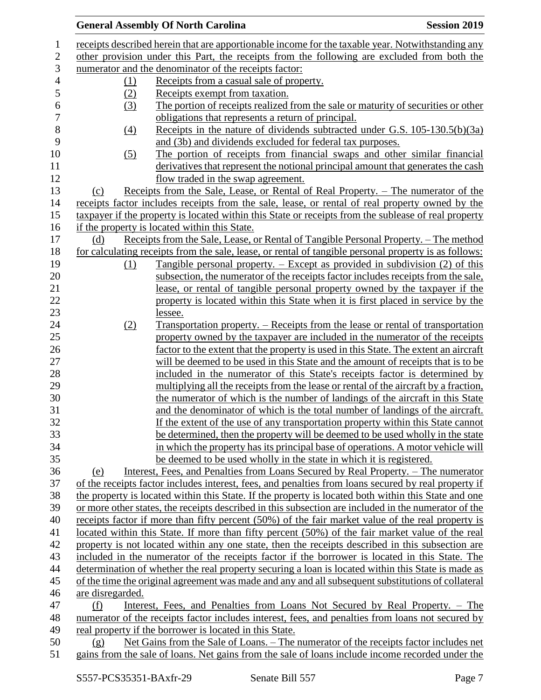|                  |                   | <b>General Assembly Of North Carolina</b>                                                             | <b>Session 2019</b> |
|------------------|-------------------|-------------------------------------------------------------------------------------------------------|---------------------|
| $\mathbf 1$      |                   | receipts described herein that are apportionable income for the taxable year. Notwithstanding any     |                     |
| $\overline{2}$   |                   | other provision under this Part, the receipts from the following are excluded from both the           |                     |
| 3                |                   | numerator and the denominator of the receipts factor:                                                 |                     |
| $\overline{4}$   | (1)               | Receipts from a casual sale of property.                                                              |                     |
| 5                | (2)               | Receipts exempt from taxation.                                                                        |                     |
| $\boldsymbol{6}$ | (3)               | The portion of receipts realized from the sale or maturity of securities or other                     |                     |
| $\overline{7}$   |                   | obligations that represents a return of principal.                                                    |                     |
| 8                | $\underline{(4)}$ | Receipts in the nature of dividends subtracted under G.S. 105-130.5(b)(3a)                            |                     |
| 9                |                   | and (3b) and dividends excluded for federal tax purposes.                                             |                     |
| 10               | $\left( 5\right)$ | The portion of receipts from financial swaps and other similar financial                              |                     |
| 11               |                   | derivatives that represent the notional principal amount that generates the cash                      |                     |
| 12               |                   | flow traded in the swap agreement.                                                                    |                     |
| 13               | (c)               | <u>Receipts from the Sale, Lease, or Rental of Real Property. – The numerator of the</u>              |                     |
| 14               |                   | receipts factor includes receipts from the sale, lease, or rental of real property owned by the       |                     |
| 15               |                   | taxpayer if the property is located within this State or receipts from the sublease of real property  |                     |
| 16               |                   | if the property is located within this State.                                                         |                     |
| 17               | (d)               | Receipts from the Sale, Lease, or Rental of Tangible Personal Property. – The method                  |                     |
| 18               |                   | for calculating receipts from the sale, lease, or rental of tangible personal property is as follows: |                     |
| 19               | (1)               | Tangible personal property. $-$ Except as provided in subdivision (2) of this                         |                     |
| 20               |                   | subsection, the numerator of the receipts factor includes receipts from the sale,                     |                     |
| 21               |                   | lease, or rental of tangible personal property owned by the taxpayer if the                           |                     |
| 22               |                   | property is located within this State when it is first placed in service by the                       |                     |
| 23               |                   | lessee.                                                                                               |                     |
| 24               | (2)               | <u>Transportation property. – Receipts from the lease or rental of transportation</u>                 |                     |
| 25               |                   | property owned by the taxpayer are included in the numerator of the receipts                          |                     |
| 26               |                   | factor to the extent that the property is used in this State. The extent an aircraft                  |                     |
| 27               |                   | will be deemed to be used in this State and the amount of receipts that is to be                      |                     |
| 28               |                   | included in the numerator of this State's receipts factor is determined by                            |                     |
| 29               |                   | multiplying all the receipts from the lease or rental of the aircraft by a fraction,                  |                     |
| 30               |                   | the numerator of which is the number of landings of the aircraft in this State                        |                     |
| 31               |                   | and the denominator of which is the total number of landings of the aircraft.                         |                     |
| 32               |                   | If the extent of the use of any transportation property within this State cannot                      |                     |
| 33               |                   | be determined, then the property will be deemed to be used wholly in the state                        |                     |
| 34               |                   | in which the property has its principal base of operations. A motor vehicle will                      |                     |
| 35               |                   | be deemed to be used wholly in the state in which it is registered.                                   |                     |
| 36               | (e)               | Interest, Fees, and Penalties from Loans Secured by Real Property. - The numerator                    |                     |
| 37               |                   | of the receipts factor includes interest, fees, and penalties from loans secured by real property if  |                     |
| 38               |                   | the property is located within this State. If the property is located both within this State and one  |                     |
| 39               |                   | or more other states, the receipts described in this subsection are included in the numerator of the  |                     |
| 40               |                   | receipts factor if more than fifty percent (50%) of the fair market value of the real property is     |                     |
| 41               |                   | located within this State. If more than fifty percent (50%) of the fair market value of the real      |                     |
| 42               |                   | property is not located within any one state, then the receipts described in this subsection are      |                     |
| 43               |                   | included in the numerator of the receipts factor if the borrower is located in this State. The        |                     |
| 44               |                   | determination of whether the real property securing a loan is located within this State is made as    |                     |
| 45               |                   | of the time the original agreement was made and any and all subsequent substitutions of collateral    |                     |
| 46               | are disregarded.  |                                                                                                       |                     |
| 47               | (f)               | Interest, Fees, and Penalties from Loans Not Secured by Real Property. – The                          |                     |
| 48               |                   | numerator of the receipts factor includes interest, fees, and penalties from loans not secured by     |                     |
| 49               |                   | real property if the borrower is located in this State.                                               |                     |
| 50               | (g)               | Net Gains from the Sale of Loans. – The numerator of the receipts factor includes net                 |                     |
| 51               |                   | gains from the sale of loans. Net gains from the sale of loans include income recorded under the      |                     |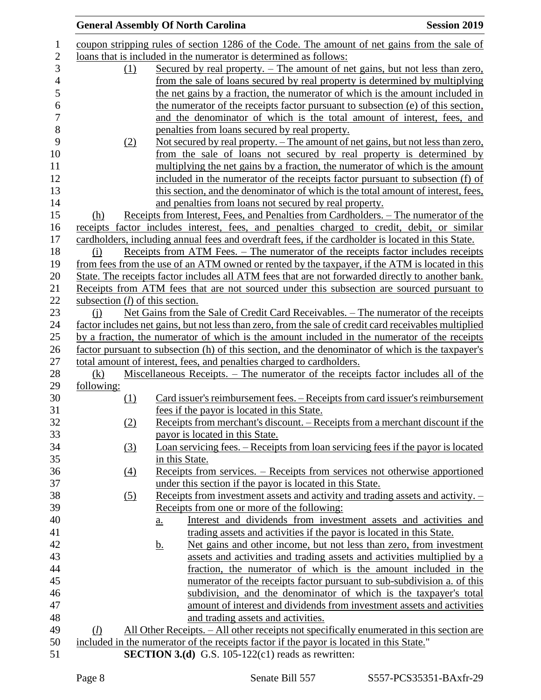|            | <b>General Assembly Of North Carolina</b>                                                              | <b>Session 2019</b> |
|------------|--------------------------------------------------------------------------------------------------------|---------------------|
|            | coupon stripping rules of section 1286 of the Code. The amount of net gains from the sale of           |                     |
|            | loans that is included in the numerator is determined as follows:                                      |                     |
| (1)        | <u>Secured by real property. – The amount of net gains, but not less than zero,</u>                    |                     |
|            | from the sale of loans secured by real property is determined by multiplying                           |                     |
|            | the net gains by a fraction, the numerator of which is the amount included in                          |                     |
|            | the numerator of the receipts factor pursuant to subsection (e) of this section,                       |                     |
|            | and the denominator of which is the total amount of interest, fees, and                                |                     |
|            | penalties from loans secured by real property.                                                         |                     |
|            | Not secured by real property. – The amount of net gains, but not less than zero,<br>(2)                |                     |
|            | from the sale of loans not secured by real property is determined by                                   |                     |
|            | multiplying the net gains by a fraction, the numerator of which is the amount                          |                     |
|            | included in the numerator of the receipts factor pursuant to subsection (f) of                         |                     |
|            | this section, and the denominator of which is the total amount of interest, fees,                      |                     |
|            | and penalties from loans not secured by real property.                                                 |                     |
| (h)        | Receipts from Interest, Fees, and Penalties from Cardholders. – The numerator of the                   |                     |
|            | receipts factor includes interest, fees, and penalties charged to credit, debit, or similar            |                     |
|            | cardholders, including annual fees and overdraft fees, if the cardholder is located in this State.     |                     |
| (i)        | Receipts from ATM Fees. – The numerator of the receipts factor includes receipts                       |                     |
|            | from fees from the use of an ATM owned or rented by the taxpayer, if the ATM is located in this        |                     |
|            | State. The receipts factor includes all ATM fees that are not forwarded directly to another bank.      |                     |
|            | Receipts from ATM fees that are not sourced under this subsection are sourced pursuant to              |                     |
|            | subsection $(l)$ of this section.                                                                      |                     |
| (i)        | Net Gains from the Sale of Credit Card Receivables. – The numerator of the receipts                    |                     |
|            | factor includes net gains, but not less than zero, from the sale of credit card receivables multiplied |                     |
|            | by a fraction, the numerator of which is the amount included in the numerator of the receipts          |                     |
|            | factor pursuant to subsection (h) of this section, and the denominator of which is the taxpayer's      |                     |
|            | total amount of interest, fees, and penalties charged to cardholders.                                  |                     |
| (k)        | Miscellaneous Receipts. – The numerator of the receipts factor includes all of the                     |                     |
| following: |                                                                                                        |                     |
|            | Card issuer's reimbursement fees. – Receipts from card issuer's reimbursement<br>(1)                   |                     |
|            | fees if the payor is located in this State.                                                            |                     |
|            | Receipts from merchant's discount. – Receipts from a merchant discount if the<br>(2)                   |                     |
|            | payor is located in this State.                                                                        |                     |
|            | Loan servicing fees. – Receipts from loan servicing fees if the payor is located<br>(3)                |                     |
|            | in this State.                                                                                         |                     |
|            | <u>Receipts from services. – Receipts from services not otherwise apportioned</u><br>$\left(4\right)$  |                     |
|            | under this section if the payor is located in this State.                                              |                     |
|            | Receipts from investment assets and activity and trading assets and activity. –<br>$\left( 5\right)$   |                     |
|            | Receipts from one or more of the following:                                                            |                     |
|            | Interest and dividends from investment assets and activities and<br>a.                                 |                     |
|            | trading assets and activities if the payor is located in this State.                                   |                     |
|            | Net gains and other income, but not less than zero, from investment<br><u>b.</u>                       |                     |
|            | assets and activities and trading assets and activities multiplied by a                                |                     |
|            | fraction, the numerator of which is the amount included in the                                         |                     |
|            | numerator of the receipts factor pursuant to sub-subdivision a. of this                                |                     |
|            | subdivision, and the denominator of which is the taxpayer's total                                      |                     |
|            | amount of interest and dividends from investment assets and activities                                 |                     |
|            | and trading assets and activities.                                                                     |                     |
| $\Omega$   | <u>All Other Receipts. – All other receipts not specifically enumerated in this section are</u>        |                     |
|            | included in the numerator of the receipts factor if the payor is located in this State."               |                     |
|            | <b>SECTION 3.(d)</b> G.S. 105-122(c1) reads as rewritten:                                              |                     |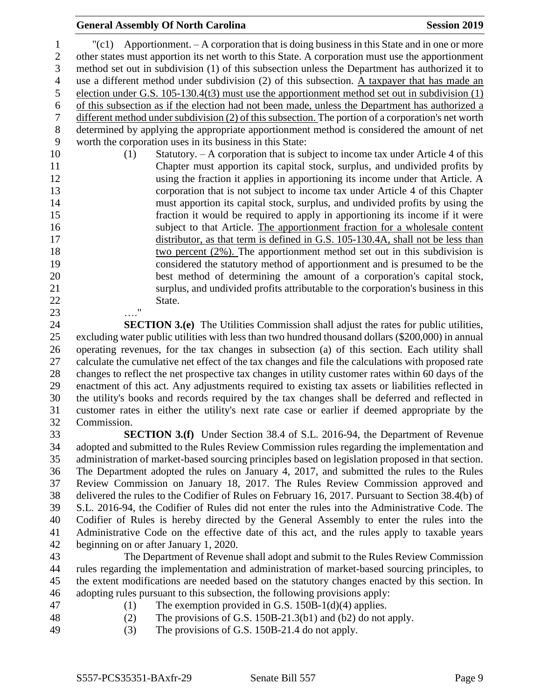### **General Assembly Of North Carolina Session 2019 Session 2019**

 "(c1) Apportionment. – A corporation that is doing business in this State and in one or more other states must apportion its net worth to this State. A corporation must use the apportionment method set out in subdivision (1) of this subsection unless the Department has authorized it to use a different method under subdivision (2) of this subsection. A taxpayer that has made an election under G.S. 105-130.4(t3) must use the apportionment method set out in subdivision (1) of this subsection as if the election had not been made, unless the Department has authorized a different method under subdivision (2) of this subsection. The portion of a corporation's net worth determined by applying the appropriate apportionment method is considered the amount of net worth the corporation uses in its business in this State: (1) Statutory. – A corporation that is subject to income tax under Article 4 of this Chapter must apportion its capital stock, surplus, and undivided profits by using the fraction it applies in apportioning its income under that Article. A corporation that is not subject to income tax under Article 4 of this Chapter must apportion its capital stock, surplus, and undivided profits by using the fraction it would be required to apply in apportioning its income if it were subject to that Article. The apportionment fraction for a wholesale content distributor, as that term is defined in G.S. 105-130.4A, shall not be less than two percent (2%). The apportionment method set out in this subdivision is

- considered the statutory method of apportionment and is presumed to be the best method of determining the amount of a corporation's capital stock, surplus, and undivided profits attributable to the corporation's business in this 22 State. …."
- **SECTION 3.(e)** The Utilities Commission shall adjust the rates for public utilities, excluding water public utilities with less than two hundred thousand dollars (\$200,000) in annual operating revenues, for the tax changes in subsection (a) of this section. Each utility shall calculate the cumulative net effect of the tax changes and file the calculations with proposed rate changes to reflect the net prospective tax changes in utility customer rates within 60 days of the enactment of this act. Any adjustments required to existing tax assets or liabilities reflected in the utility's books and records required by the tax changes shall be deferred and reflected in customer rates in either the utility's next rate case or earlier if deemed appropriate by the Commission.

 **SECTION 3.(f)** Under Section 38.4 of S.L. 2016-94, the Department of Revenue adopted and submitted to the Rules Review Commission rules regarding the implementation and administration of market-based sourcing principles based on legislation proposed in that section. The Department adopted the rules on January 4, 2017, and submitted the rules to the Rules Review Commission on January 18, 2017. The Rules Review Commission approved and delivered the rules to the Codifier of Rules on February 16, 2017. Pursuant to Section 38.4(b) of S.L. 2016-94, the Codifier of Rules did not enter the rules into the Administrative Code. The Codifier of Rules is hereby directed by the General Assembly to enter the rules into the Administrative Code on the effective date of this act, and the rules apply to taxable years beginning on or after January 1, 2020.

 The Department of Revenue shall adopt and submit to the Rules Review Commission rules regarding the implementation and administration of market-based sourcing principles, to the extent modifications are needed based on the statutory changes enacted by this section. In adopting rules pursuant to this subsection, the following provisions apply:

- 
- 47 (1) The exemption provided in G.S. 150B-1(d)(4) applies.
- 48 (2) The provisions of G.S. 150B-21.3(b1) and (b2) do not apply.
- (3) The provisions of G.S. 150B-21.4 do not apply.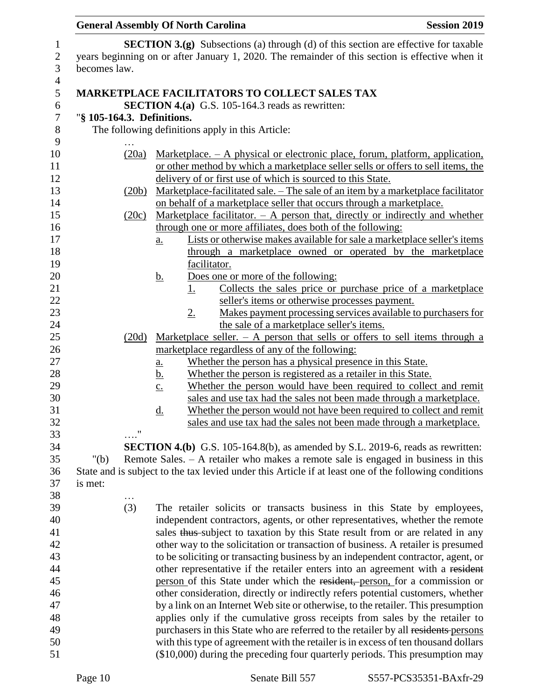## **General Assembly Of North Carolina Session 2019**

| $\mathbf{1}$   |                            | <b>SECTION 3.(g)</b> Subsections (a) through (d) of this section are effective for taxable            |
|----------------|----------------------------|-------------------------------------------------------------------------------------------------------|
| $\mathbf{2}$   |                            | years beginning on or after January 1, 2020. The remainder of this section is effective when it       |
| 3              | becomes law.               |                                                                                                       |
| $\overline{4}$ |                            |                                                                                                       |
| 5              |                            | <b>MARKETPLACE FACILITATORS TO COLLECT SALES TAX</b>                                                  |
| 6              |                            | <b>SECTION 4.(a)</b> G.S. 105-164.3 reads as rewritten:                                               |
| $\tau$         | "§ 105-164.3. Definitions. |                                                                                                       |
| $8\phantom{1}$ |                            | The following definitions apply in this Article:                                                      |
| 9              |                            |                                                                                                       |
| 10             | (20a)                      | Marketplace. $- A$ physical or electronic place, forum, platform, application,                        |
| 11             |                            | or other method by which a marketplace seller sells or offers to sell items, the                      |
| 12             |                            | delivery of or first use of which is sourced to this State.                                           |
| 13             | (20b)                      | Marketplace-facilitated sale. - The sale of an item by a marketplace facilitator                      |
| 14             |                            | on behalf of a marketplace seller that occurs through a marketplace.                                  |
| 15             | (20c)                      | Marketplace facilitator. $- A$ person that, directly or indirectly and whether                        |
| 16             |                            | through one or more affiliates, does both of the following:                                           |
| 17             |                            | Lists or otherwise makes available for sale a marketplace seller's items                              |
| 18             |                            | a.<br>through a marketplace owned or operated by the marketplace                                      |
| 19             |                            | facilitator.                                                                                          |
| 20             |                            | Does one or more of the following:                                                                    |
| 21             |                            | <u>b.</u><br>Collects the sales price or purchase price of a marketplace<br>1.                        |
| 22             |                            | seller's items or otherwise processes payment.                                                        |
| 23             |                            | Makes payment processing services available to purchasers for                                         |
|                |                            | $2_{\cdot}$                                                                                           |
| 24             |                            | the sale of a marketplace seller's items.                                                             |
| 25             | (20d)                      | Marketplace seller. $-$ A person that sells or offers to sell items through a                         |
| 26             |                            | marketplace regardless of any of the following:                                                       |
| 27             |                            | Whether the person has a physical presence in this State.<br><u>a.</u>                                |
| 28             |                            | Whether the person is registered as a retailer in this State.<br><u>b.</u>                            |
| 29             |                            | Whether the person would have been required to collect and remit<br>$\underline{c}$ .                 |
| 30             |                            | sales and use tax had the sales not been made through a marketplace.                                  |
| 31             |                            | Whether the person would not have been required to collect and remit<br><u>d.</u>                     |
| 32             | 11                         | sales and use tax had the sales not been made through a marketplace.                                  |
| 33             |                            |                                                                                                       |
| 34             |                            | <b>SECTION 4.(b)</b> G.S. 105-164.8(b), as amended by S.L. 2019-6, reads as rewritten:                |
| 35             | " $(b)$                    | Remote Sales. - A retailer who makes a remote sale is engaged in business in this                     |
| 36             |                            | State and is subject to the tax levied under this Article if at least one of the following conditions |
| 37             | is met:                    |                                                                                                       |
| 38             |                            |                                                                                                       |
| 39             | (3)                        | The retailer solicits or transacts business in this State by employees,                               |
| 40             |                            | independent contractors, agents, or other representatives, whether the remote                         |
| 41             |                            | sales thus subject to taxation by this State result from or are related in any                        |
| 42             |                            | other way to the solicitation or transaction of business. A retailer is presumed                      |
| 43             |                            | to be soliciting or transacting business by an independent contractor, agent, or                      |
| 44             |                            | other representative if the retailer enters into an agreement with a resident                         |
| 45             |                            | person of this State under which the resident, person, for a commission or                            |
| 46             |                            | other consideration, directly or indirectly refers potential customers, whether                       |
| 47             |                            | by a link on an Internet Web site or otherwise, to the retailer. This presumption                     |
| 48             |                            | applies only if the cumulative gross receipts from sales by the retailer to                           |
| 49             |                            | purchasers in this State who are referred to the retailer by all residents-persons                    |
| 50             |                            | with this type of agreement with the retailer is in excess of ten thousand dollars                    |
| 51             |                            | $($10,000)$ during the preceding four quarterly periods. This presumption may                         |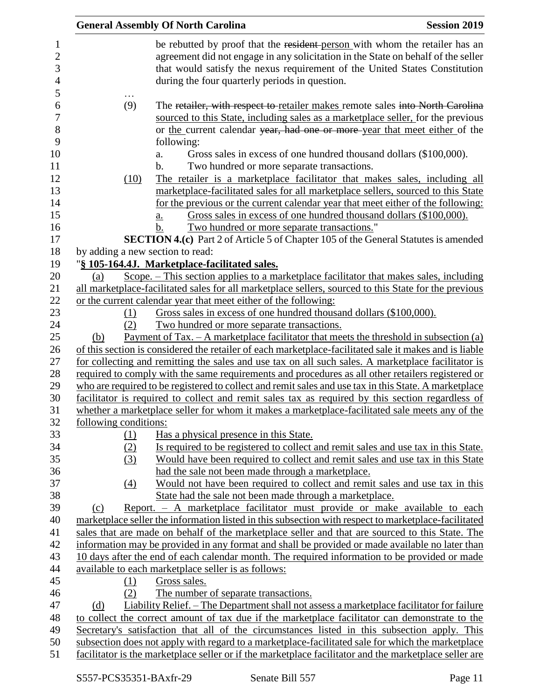|                                  | <b>General Assembly Of North Carolina</b>                                                                                                                                                         | <b>Session 2019</b> |
|----------------------------------|---------------------------------------------------------------------------------------------------------------------------------------------------------------------------------------------------|---------------------|
|                                  | be rebutted by proof that the resident-person with whom the retailer has an                                                                                                                       |                     |
|                                  | agreement did not engage in any solicitation in the State on behalf of the seller                                                                                                                 |                     |
|                                  | that would satisfy the nexus requirement of the United States Constitution                                                                                                                        |                     |
|                                  | during the four quarterly periods in question.                                                                                                                                                    |                     |
|                                  |                                                                                                                                                                                                   |                     |
| (9)                              | The retailer, with respect to retailer makes remote sales into North Carolina                                                                                                                     |                     |
|                                  | sourced to this State, including sales as a marketplace seller, for the previous                                                                                                                  |                     |
|                                  | or the current calendar year, had one or more-year that meet either of the                                                                                                                        |                     |
|                                  | following:                                                                                                                                                                                        |                     |
|                                  | Gross sales in excess of one hundred thousand dollars (\$100,000).<br>a.                                                                                                                          |                     |
|                                  | b.<br>Two hundred or more separate transactions.                                                                                                                                                  |                     |
| (10)                             | The retailer is a marketplace facilitator that makes sales, including all                                                                                                                         |                     |
|                                  | marketplace-facilitated sales for all marketplace sellers, sourced to this State                                                                                                                  |                     |
|                                  | for the previous or the current calendar year that meet either of the following:                                                                                                                  |                     |
|                                  | Gross sales in excess of one hundred thousand dollars (\$100,000).<br>a.                                                                                                                          |                     |
|                                  | Two hundred or more separate transactions."<br>b.                                                                                                                                                 |                     |
|                                  | <b>SECTION 4.(c)</b> Part 2 of Article 5 of Chapter 105 of the General Statutes is amended                                                                                                        |                     |
| by adding a new section to read: |                                                                                                                                                                                                   |                     |
|                                  | "§ 105-164.4J. Marketplace-facilitated sales.                                                                                                                                                     |                     |
| (a)                              | Scope. - This section applies to a marketplace facilitator that makes sales, including                                                                                                            |                     |
|                                  | all marketplace-facilitated sales for all marketplace sellers, sourced to this State for the previous                                                                                             |                     |
|                                  | or the current calendar year that meet either of the following:                                                                                                                                   |                     |
| <u>(1)</u>                       | Gross sales in excess of one hundred thousand dollars (\$100,000).                                                                                                                                |                     |
| (2)                              | Two hundred or more separate transactions.                                                                                                                                                        |                     |
| (b)                              | <u>Payment of Tax. – A market place facilitator that meets the threshold in subsection (a)</u>                                                                                                    |                     |
|                                  | of this section is considered the retailer of each marketplace-facilitated sale it makes and is liable                                                                                            |                     |
|                                  | for collecting and remitting the sales and use tax on all such sales. A marketplace facilitator is                                                                                                |                     |
|                                  | required to comply with the same requirements and procedures as all other retailers registered or                                                                                                 |                     |
|                                  | who are required to be registered to collect and remit sales and use tax in this State. A marketplace                                                                                             |                     |
|                                  | facilitator is required to collect and remit sales tax as required by this section regardless of                                                                                                  |                     |
| following conditions:            | whether a marketplace seller for whom it makes a marketplace-facilitated sale meets any of the                                                                                                    |                     |
|                                  | Has a physical presence in this State.                                                                                                                                                            |                     |
| <u>(1)</u><br>(2)                | Is required to be registered to collect and remit sales and use tax in this State.                                                                                                                |                     |
|                                  | Would have been required to collect and remit sales and use tax in this State                                                                                                                     |                     |
| (3)                              | had the sale not been made through a marketplace.                                                                                                                                                 |                     |
| (4)                              | Would not have been required to collect and remit sales and use tax in this                                                                                                                       |                     |
|                                  | State had the sale not been made through a marketplace.                                                                                                                                           |                     |
| (c)                              | Report. - A marketplace facilitator must provide or make available to each                                                                                                                        |                     |
|                                  | marketplace seller the information listed in this subsection with respect to marketplace-facilitated                                                                                              |                     |
|                                  | sales that are made on behalf of the marketplace seller and that are sourced to this State. The                                                                                                   |                     |
|                                  | information may be provided in any format and shall be provided or made available no later than                                                                                                   |                     |
|                                  | 10 days after the end of each calendar month. The required information to be provided or made                                                                                                     |                     |
|                                  | available to each marketplace seller is as follows:                                                                                                                                               |                     |
| (1)                              | Gross sales.                                                                                                                                                                                      |                     |
| (2)                              | The number of separate transactions.                                                                                                                                                              |                     |
| (d)                              | Liability Relief. – The Department shall not assess a marketplace facilitator for failure                                                                                                         |                     |
|                                  |                                                                                                                                                                                                   |                     |
|                                  |                                                                                                                                                                                                   |                     |
|                                  | to collect the correct amount of tax due if the marketplace facilitator can demonstrate to the                                                                                                    |                     |
|                                  | Secretary's satisfaction that all of the circumstances listed in this subsection apply. This<br>subsection does not apply with regard to a marketplace-facilitated sale for which the marketplace |                     |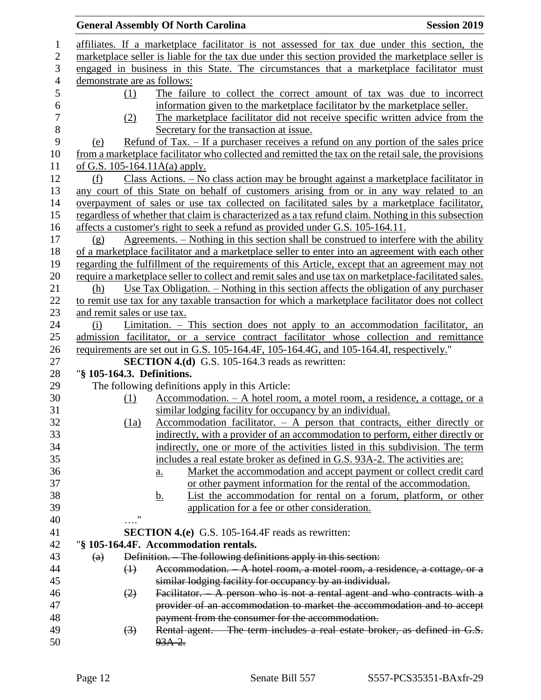|                   |                                 |            | <b>General Assembly Of North Carolina</b>                                               | <b>Session 2019</b>                                                                                   |
|-------------------|---------------------------------|------------|-----------------------------------------------------------------------------------------|-------------------------------------------------------------------------------------------------------|
|                   |                                 |            |                                                                                         | affiliates. If a marketplace facilitator is not assessed for tax due under this section, the          |
|                   |                                 |            |                                                                                         | marketplace seller is liable for the tax due under this section provided the marketplace seller is    |
|                   |                                 |            |                                                                                         | engaged in business in this State. The circumstances that a marketplace facilitator must              |
|                   | demonstrate are as follows:     |            |                                                                                         |                                                                                                       |
|                   | (1)                             |            |                                                                                         | The failure to collect the correct amount of tax was due to incorrect                                 |
|                   |                                 |            |                                                                                         | information given to the marketplace facilitator by the marketplace seller.                           |
|                   | (2)                             |            |                                                                                         | The marketplace facilitator did not receive specific written advice from the                          |
|                   |                                 |            | Secretary for the transaction at issue.                                                 |                                                                                                       |
| (e)               |                                 |            |                                                                                         | <u>Refund of Tax. – If a purchaser receives a refund on any portion of the sales price</u>            |
|                   |                                 |            |                                                                                         | from a marketplace facilitator who collected and remitted the tax on the retail sale, the provisions  |
|                   | of G.S. $105-164.11A(a)$ apply. |            |                                                                                         |                                                                                                       |
| (f)               |                                 |            |                                                                                         | <u> Class Actions. – No class action may be brought against a marketplace facilitator in</u>          |
|                   |                                 |            |                                                                                         | any court of this State on behalf of customers arising from or in any way related to an               |
|                   |                                 |            |                                                                                         |                                                                                                       |
|                   |                                 |            |                                                                                         | overpayment of sales or use tax collected on facilitated sales by a marketplace facilitator,          |
|                   |                                 |            |                                                                                         | regardless of whether that claim is characterized as a tax refund claim. Nothing in this subsection   |
|                   |                                 |            | affects a customer's right to seek a refund as provided under G.S. 105-164.11.          |                                                                                                       |
| (g)               |                                 |            |                                                                                         | Agreements. – Nothing in this section shall be construed to interfere with the ability                |
|                   |                                 |            |                                                                                         | of a marketplace facilitator and a marketplace seller to enter into an agreement with each other      |
|                   |                                 |            |                                                                                         | regarding the fulfillment of the requirements of this Article, except that an agreement may not       |
|                   |                                 |            |                                                                                         | require a marketplace seller to collect and remit sales and use tax on marketplace-facilitated sales. |
| (h)               |                                 |            |                                                                                         | Use Tax Obligation. – Nothing in this section affects the obligation of any purchaser                 |
|                   |                                 |            |                                                                                         | to remit use tax for any taxable transaction for which a marketplace facilitator does not collect     |
|                   | and remit sales or use tax.     |            |                                                                                         |                                                                                                       |
| (i)               |                                 |            |                                                                                         | Limitation. – This section does not apply to an accommodation facilitator, an                         |
|                   |                                 |            |                                                                                         | admission facilitator, or a service contract facilitator whose collection and remittance              |
|                   |                                 |            | requirements are set out in G.S. 105-164.4F, 105-164.4G, and 105-164.4I, respectively." |                                                                                                       |
|                   | "§ 105-164.3. Definitions.      |            | SECTION 4.(d) G.S. 105-164.3 reads as rewritten:                                        |                                                                                                       |
|                   |                                 |            |                                                                                         |                                                                                                       |
|                   |                                 |            | The following definitions apply in this Article:                                        |                                                                                                       |
|                   | (1)                             |            |                                                                                         | Accommodation. - A hotel room, a motel room, a residence, a cottage, or a                             |
|                   |                                 |            | similar lodging facility for occupancy by an individual.                                |                                                                                                       |
|                   | (1a)                            |            |                                                                                         | Accommodation facilitator. $-$ A person that contracts, either directly or                            |
|                   |                                 |            |                                                                                         | <u>indirectly, with a provider of an accommodation to perform, either directly or</u>                 |
|                   |                                 |            |                                                                                         | indirectly, one or more of the activities listed in this subdivision. The term                        |
|                   |                                 |            | includes a real estate broker as defined in G.S. 93A-2. The activities are:             |                                                                                                       |
|                   |                                 | <u>a.</u>  |                                                                                         | Market the accommodation and accept payment or collect credit card                                    |
|                   |                                 |            |                                                                                         | or other payment information for the rental of the accommodation.                                     |
|                   |                                 | <u>b.</u>  |                                                                                         | <u>List the accommodation for rental on a forum, platform, or other</u>                               |
|                   | "                               |            | application for a fee or other consideration.                                           |                                                                                                       |
|                   |                                 |            |                                                                                         |                                                                                                       |
|                   |                                 |            | <b>SECTION 4.(e)</b> G.S. 105-164.4F reads as rewritten:                                |                                                                                                       |
|                   |                                 |            | "§ 105-164.4F. Accommodation rentals.                                                   |                                                                                                       |
| $\left( a\right)$ |                                 |            | Definition. The following definitions apply in this section:                            |                                                                                                       |
|                   | $\leftrightarrow$               |            |                                                                                         | Accommodation. A hotel room, a motel room, a residence, a cottage, or a                               |
|                   |                                 |            | similar lodging facility for occupancy by an individual.                                |                                                                                                       |
|                   | $\left( 2\right)$               |            |                                                                                         | Facilitator. A person who is not a rental agent and who contracts with a                              |
|                   |                                 |            |                                                                                         | provider of an accommodation to market the accommodation and to accept                                |
|                   |                                 |            | payment from the consumer for the accommodation.                                        |                                                                                                       |
|                   | $\left(3\right)$                |            |                                                                                         | Rental agent. - The term includes a real estate broker, as defined in G.S.                            |
|                   |                                 | $93A - 2.$ |                                                                                         |                                                                                                       |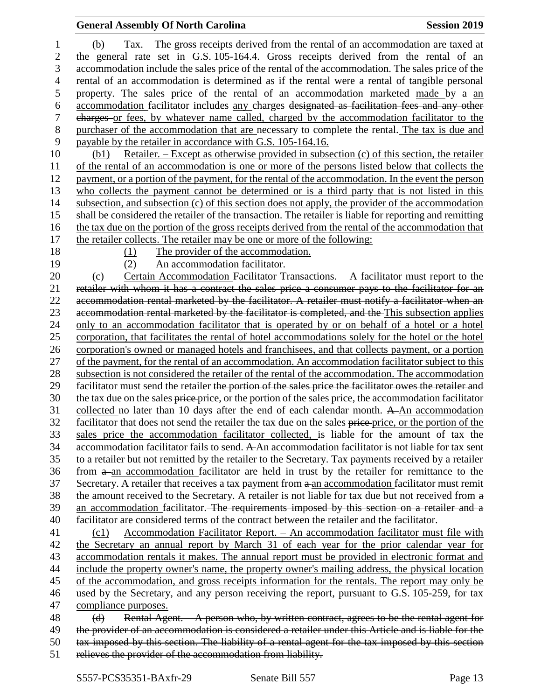# **General Assembly Of North Carolina Session 2019**

| 1                | Tax. – The gross receipts derived from the rental of an accommodation are taxed at<br>(b)                                                                                                           |
|------------------|-----------------------------------------------------------------------------------------------------------------------------------------------------------------------------------------------------|
| $\overline{2}$   | the general rate set in G.S. 105-164.4. Gross receipts derived from the rental of an                                                                                                                |
| 3                | accommodation include the sales price of the rental of the accommodation. The sales price of the                                                                                                    |
| $\overline{4}$   | rental of an accommodation is determined as if the rental were a rental of tangible personal                                                                                                        |
| 5                | property. The sales price of the rental of an accommodation marketed made by $a$ -an                                                                                                                |
| 6                | accommodation facilitator includes any charges designated as facilitation fees and any other                                                                                                        |
| $\boldsymbol{7}$ | charges or fees, by whatever name called, charged by the accommodation facilitator to the                                                                                                           |
| 8                | purchaser of the accommodation that are necessary to complete the rental. The tax is due and                                                                                                        |
| 9                | payable by the retailer in accordance with G.S. 105-164.16.                                                                                                                                         |
| 10               | <u>Retailer. – Except as otherwise provided in subsection (c) of this section, the retailer</u><br>(b1)                                                                                             |
| 11               | of the rental of an accommodation is one or more of the persons listed below that collects the                                                                                                      |
| 12               | payment, or a portion of the payment, for the rental of the accommodation. In the event the person                                                                                                  |
| 13               | who collects the payment cannot be determined or is a third party that is not listed in this                                                                                                        |
| 14               | subsection, and subsection (c) of this section does not apply, the provider of the accommodation                                                                                                    |
| 15               | shall be considered the retailer of the transaction. The retailer is liable for reporting and remitting                                                                                             |
| 16               | the tax due on the portion of the gross receipts derived from the rental of the accommodation that                                                                                                  |
| 17               | the retailer collects. The retailer may be one or more of the following:                                                                                                                            |
| 18               | The provider of the accommodation.<br>(1)                                                                                                                                                           |
| 19               | An accommodation facilitator.<br>(2)                                                                                                                                                                |
| 20               | Certain Accommodation Facilitator Transactions. - A facilitator must report to the<br>(c)                                                                                                           |
| 21               | retailer with whom it has a contract the sales price a consumer pays to the facilitator for an                                                                                                      |
| 22               | accommodation rental marketed by the facilitator. A retailer must notify a facilitator when an                                                                                                      |
| 23               | accommodation rental marketed by the facilitator is completed, and the This subsection applies                                                                                                      |
| 24               | only to an accommodation facilitator that is operated by or on behalf of a hotel or a hotel                                                                                                         |
| 25               | corporation, that facilitates the rental of hotel accommodations solely for the hotel or the hotel                                                                                                  |
| 26               | corporation's owned or managed hotels and franchisees, and that collects payment, or a portion                                                                                                      |
| 27               | of the payment, for the rental of an accommodation. An accommodation facilitator subject to this                                                                                                    |
| 28               | subsection is not considered the retailer of the rental of the accommodation. The accommodation                                                                                                     |
| 29               | facilitator must send the retailer the portion of the sales price the facilitator owes the retailer and                                                                                             |
| 30<br>31         | the tax due on the sales price price, or the portion of the sales price, the accommodation facilitator                                                                                              |
| 32               | collected no later than 10 days after the end of each calendar month. A-An accommodation<br>facilitator that does not send the retailer the tax due on the sales price-price, or the portion of the |
| 33               | sales price the accommodation facilitator collected, is liable for the amount of tax the                                                                                                            |
| 34               | accommodation facilitator fails to send. A An accommodation facilitator is not liable for tax sent                                                                                                  |
| 35               | to a retailer but not remitted by the retailer to the Secretary. Tax payments received by a retailer                                                                                                |
| 36               | from a an accommodation facilitator are held in trust by the retailer for remittance to the                                                                                                         |
| 37               | Secretary. A retailer that receives a tax payment from a an accommodation facilitator must remit                                                                                                    |
| 38               | the amount received to the Secretary. A retailer is not liable for tax due but not received from a                                                                                                  |
| 39               | an accommodation facilitator. The requirements imposed by this section on a retailer and a                                                                                                          |
| 40               | facilitator are considered terms of the contract between the retailer and the facilitator.                                                                                                          |
| 41               | <u> Accommodation Facilitator Report. – An accommodation facilitator must file with</u><br>(c1)                                                                                                     |
| 42               | the Secretary an annual report by March 31 of each year for the prior calendar year for                                                                                                             |
| 43               | accommodation rentals it makes. The annual report must be provided in electronic format and                                                                                                         |
| 44               | include the property owner's name, the property owner's mailing address, the physical location                                                                                                      |
| 45               | of the accommodation, and gross receipts information for the rentals. The report may only be                                                                                                        |
| 46               | used by the Secretary, and any person receiving the report, pursuant to G.S. 105-259, for tax                                                                                                       |
| 47               | compliance purposes.                                                                                                                                                                                |
| 48               | Rental Agent. A person who, by written contract, agrees to be the rental agent for<br>(d)                                                                                                           |
| 49               | the provider of an accommodation is considered a retailer under this Article and is liable for the                                                                                                  |
| 50               | tax imposed by this section. The liability of a rental agent for the tax imposed by this section                                                                                                    |
| 51               | relieves the provider of the accommodation from liability.                                                                                                                                          |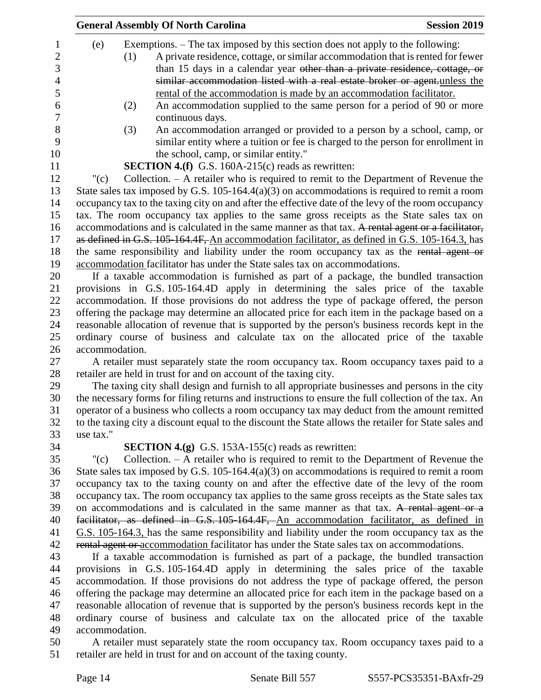|           |                | <b>General Assembly Of North Carolina</b>                                                             | <b>Session 2019</b> |
|-----------|----------------|-------------------------------------------------------------------------------------------------------|---------------------|
| (e)       |                | Exemptions. – The tax imposed by this section does not apply to the following:                        |                     |
|           | (1)            | A private residence, cottage, or similar accommodation that is rented for fewer                       |                     |
|           |                | than 15 days in a calendar year other than a private residence, cottage, or                           |                     |
|           |                | similar accommodation listed with a real estate broker or agent.unless the                            |                     |
|           |                | rental of the accommodation is made by an accommodation facilitator.                                  |                     |
|           | (2)            | An accommodation supplied to the same person for a period of 90 or more                               |                     |
|           |                | continuous days.                                                                                      |                     |
|           | (3)            | An accommodation arranged or provided to a person by a school, camp, or                               |                     |
|           |                | similar entity where a tuition or fee is charged to the person for enrollment in                      |                     |
|           |                | the school, camp, or similar entity."                                                                 |                     |
|           |                |                                                                                                       |                     |
|           |                | <b>SECTION 4.(f)</b> G.S. 160A-215(c) reads as rewritten:                                             |                     |
| " $(c)$   |                | Collection. $- A$ retailer who is required to remit to the Department of Revenue the                  |                     |
|           |                | State sales tax imposed by G.S. 105-164.4(a)(3) on accommodations is required to remit a room         |                     |
|           |                | occupancy tax to the taxing city on and after the effective date of the levy of the room occupancy    |                     |
|           |                | tax. The room occupancy tax applies to the same gross receipts as the State sales tax on              |                     |
|           |                | accommodations and is calculated in the same manner as that tax. A rental agent or a facilitator,     |                     |
|           |                | as defined in G.S. 105-164.4F, An accommodation facilitator, as defined in G.S. 105-164.3, has        |                     |
|           |                | the same responsibility and liability under the room occupancy tax as the rental agent or             |                     |
|           |                | accommodation facilitator has under the State sales tax on accommodations.                            |                     |
|           |                | If a taxable accommodation is furnished as part of a package, the bundled transaction                 |                     |
|           |                | provisions in G.S. 105-164.4D apply in determining the sales price of the taxable                     |                     |
|           |                | accommodation. If those provisions do not address the type of package offered, the person             |                     |
|           |                | offering the package may determine an allocated price for each item in the package based on a         |                     |
|           |                | reasonable allocation of revenue that is supported by the person's business records kept in the       |                     |
|           |                | ordinary course of business and calculate tax on the allocated price of the taxable                   |                     |
|           | accommodation. |                                                                                                       |                     |
|           |                | A retailer must separately state the room occupancy tax. Room occupancy taxes paid to a               |                     |
|           |                | retailer are held in trust for and on account of the taxing city.                                     |                     |
|           |                | The taxing city shall design and furnish to all appropriate businesses and persons in the city        |                     |
|           |                | the necessary forms for filing returns and instructions to ensure the full collection of the tax. An  |                     |
|           |                | operator of a business who collects a room occupancy tax may deduct from the amount remitted          |                     |
|           |                | to the taxing city a discount equal to the discount the State allows the retailer for State sales and |                     |
| use tax." |                |                                                                                                       |                     |
|           |                | <b>SECTION 4.(g)</b> G.S. 153A-155(c) reads as rewritten:                                             |                     |
| " $(c)$   |                | Collection. $- A$ retailer who is required to remit to the Department of Revenue the                  |                     |
|           |                | State sales tax imposed by G.S. 105-164.4(a)(3) on accommodations is required to remit a room         |                     |
|           |                | occupancy tax to the taxing county on and after the effective date of the levy of the room            |                     |
|           |                | occupancy tax. The room occupancy tax applies to the same gross receipts as the State sales tax       |                     |
|           |                | on accommodations and is calculated in the same manner as that tax. A rental agent or a               |                     |
|           |                | facilitator, as defined in G.S. 105-164.4F, An accommodation facilitator, as defined in               |                     |
|           |                | G.S. 105-164.3, has the same responsibility and liability under the room occupancy tax as the         |                     |
|           |                | rental agent or accommodation facilitator has under the State sales tax on accommodations.            |                     |
|           |                | If a taxable accommodation is furnished as part of a package, the bundled transaction                 |                     |
|           |                | provisions in G.S. 105-164.4D apply in determining the sales price of the taxable                     |                     |
|           |                | accommodation. If those provisions do not address the type of package offered, the person             |                     |
|           |                | offering the package may determine an allocated price for each item in the package based on a         |                     |
|           |                | reasonable allocation of revenue that is supported by the person's business records kept in the       |                     |
|           |                | ordinary course of business and calculate tax on the allocated price of the taxable                   |                     |
|           | accommodation. |                                                                                                       |                     |
|           |                | sanat agus suchalar shoha bha us suc                                                                  |                     |

 A retailer must separately state the room occupancy tax. Room occupancy taxes paid to a retailer are held in trust for and on account of the taxing county.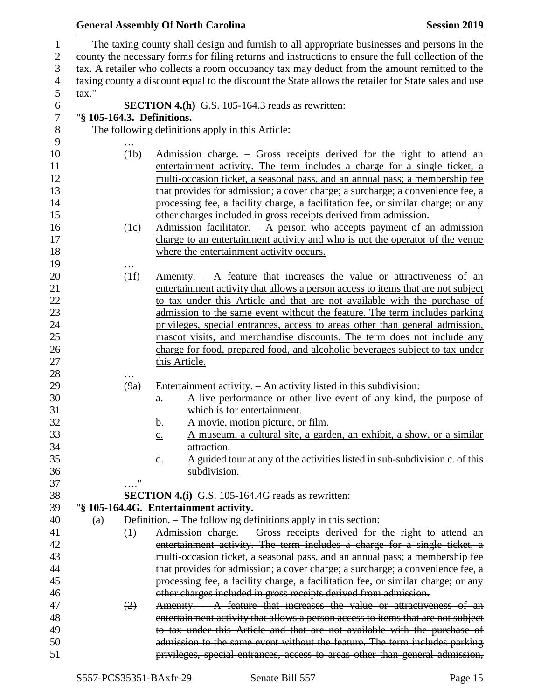|                  |                            | <b>General Assembly Of North Carolina</b><br><b>Session 2019</b>                                     |
|------------------|----------------------------|------------------------------------------------------------------------------------------------------|
| $\mathbf{1}$     |                            | The taxing county shall design and furnish to all appropriate businesses and persons in the          |
| $\mathbf{2}$     |                            | county the necessary forms for filing returns and instructions to ensure the full collection of the  |
| $\mathfrak{Z}$   |                            | tax. A retailer who collects a room occupancy tax may deduct from the amount remitted to the         |
| $\overline{4}$   |                            | taxing county a discount equal to the discount the State allows the retailer for State sales and use |
| $\mathfrak{S}$   | tax."                      |                                                                                                      |
| 6                |                            | <b>SECTION 4.(h)</b> G.S. 105-164.3 reads as rewritten:                                              |
| $\boldsymbol{7}$ | "§ 105-164.3. Definitions. |                                                                                                      |
| 8                |                            | The following definitions apply in this Article:                                                     |
| 9                |                            |                                                                                                      |
| 10               | (1b)                       | Admission charge. – Gross receipts derived for the right to attend an                                |
| 11               |                            | entertainment activity. The term includes a charge for a single ticket, a                            |
| 12               |                            | multi-occasion ticket, a seasonal pass, and an annual pass; a membership fee                         |
| 13               |                            | that provides for admission; a cover charge; a surcharge; a convenience fee, a                       |
| 14               |                            | processing fee, a facility charge, a facilitation fee, or similar charge; or any                     |
| 15               |                            | other charges included in gross receipts derived from admission.                                     |
| 16               | (1c)                       | Admission facilitator. $-$ A person who accepts payment of an admission                              |
| 17               |                            | charge to an entertainment activity and who is not the operator of the venue                         |
| 18               |                            | where the entertainment activity occurs.                                                             |
| 19               |                            |                                                                                                      |
| 20               | $\cdots$<br>(1f)           | <u>Amenity. <math>-</math> A feature that increases the value or attractiveness of an</u>            |
| 21               |                            | entertainment activity that allows a person access to items that are not subject                     |
| 22               |                            | to tax under this Article and that are not available with the purchase of                            |
| 23               |                            | admission to the same event without the feature. The term includes parking                           |
| 24               |                            | privileges, special entrances, access to areas other than general admission,                         |
| 25               |                            | mascot visits, and merchandise discounts. The term does not include any                              |
| 26               |                            | charge for food, prepared food, and alcoholic beverages subject to tax under                         |
| 27               |                            | this Article.                                                                                        |
| 28               |                            |                                                                                                      |
| 29               | (9a)                       | Entertainment activity. - An activity listed in this subdivision:                                    |
| 30               |                            | A live performance or other live event of any kind, the purpose of<br>$\underline{a}$ .              |
| 31               |                            | which is for entertainment.                                                                          |
| 32               |                            | A movie, motion picture, or film.<br><u>b.</u>                                                       |
| 33               |                            | <u>A museum, a cultural site, a garden, an exhibit, a show, or a similar</u><br>$\underline{c}$ .    |
| 34               |                            | attraction.                                                                                          |
| 35               |                            | A guided tour at any of the activities listed in sub-subdivision c. of this<br><u>d.</u>             |
| 36               |                            | subdivision.                                                                                         |
| 37               | $\ldots$ "                 |                                                                                                      |
| 38               |                            | <b>SECTION 4.(i)</b> G.S. 105-164.4G reads as rewritten:                                             |
| 39               |                            | "§ 105-164.4G. Entertainment activity.                                                               |
| 40               | (a)                        | Definition. The following definitions apply in this section:                                         |
| 41               | $\leftrightarrow$          | Admission charge. Gross receipts derived for the right to attend an                                  |
| 42               |                            | entertainment activity. The term includes a charge for a single ticket, a                            |
| 43               |                            | multi-occasion ticket, a seasonal pass, and an annual pass; a membership fee                         |
| 44               |                            | that provides for admission; a cover charge; a surcharge; a convenience fee, a                       |
| 45               |                            | processing fee, a facility charge, a facilitation fee, or similar charge; or any                     |
| 46               |                            | other charges included in gross receipts derived from admission.                                     |
| 47               | (2)                        | Amenity. A feature that increases the value or attractiveness of an                                  |
| 48               |                            | entertainment activity that allows a person access to items that are not subject                     |
| 49               |                            | to tax under this Article and that are not available with the purchase of                            |
| 50<br>51         |                            | admission to the same event without the feature. The term includes parking                           |
|                  |                            | privileges, special entrances, access to areas other than general admission,                         |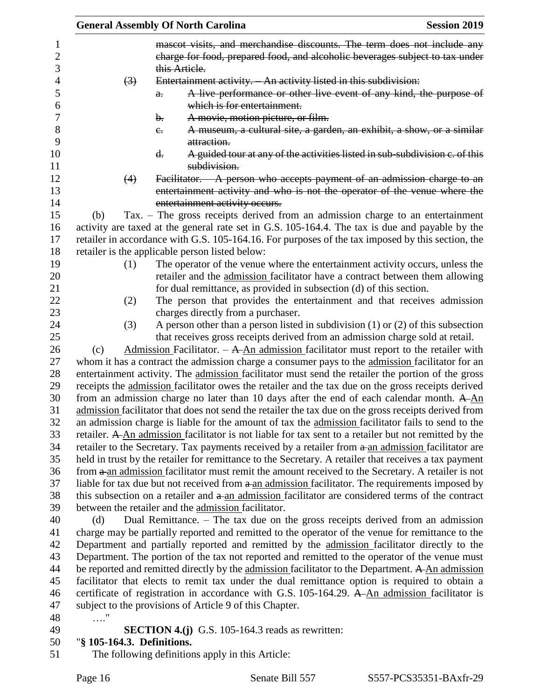|                            | <b>General Assembly Of North Carolina</b>                                                                                                                                                             | <b>Session 2019</b> |
|----------------------------|-------------------------------------------------------------------------------------------------------------------------------------------------------------------------------------------------------|---------------------|
|                            | mascot visits, and merchandise discounts. The term does not include any<br>charge for food, prepared food, and alcoholic beverages subject to tax under                                               |                     |
|                            | this Article.                                                                                                                                                                                         |                     |
| $\left(3\right)$           | Entertainment activity. An activity listed in this subdivision:                                                                                                                                       |                     |
|                            | A live performance or other live event of any kind, the purpose of<br>$\theta$ .                                                                                                                      |                     |
|                            | which is for entertainment.                                                                                                                                                                           |                     |
|                            | A movie, motion picture, or film.<br>b.                                                                                                                                                               |                     |
|                            | A museum, a cultural site, a garden, an exhibit, a show, or a similar<br>$e_{\overline{\cdot}}$<br>attraction.                                                                                        |                     |
|                            | A guided tour at any of the activities listed in sub-subdivision c. of this<br>d.<br>subdivision.                                                                                                     |                     |
| (4)                        | Facilitator. A person who accepts payment of an admission charge to an                                                                                                                                |                     |
|                            | entertainment activity and who is not the operator of the venue where the                                                                                                                             |                     |
|                            | entertainment activity occurs.                                                                                                                                                                        |                     |
| (b)                        | Tax. - The gross receipts derived from an admission charge to an entertainment                                                                                                                        |                     |
|                            | activity are taxed at the general rate set in G.S. 105-164.4. The tax is due and payable by the                                                                                                       |                     |
|                            | retailer in accordance with G.S. 105-164.16. For purposes of the tax imposed by this section, the                                                                                                     |                     |
|                            | retailer is the applicable person listed below:                                                                                                                                                       |                     |
| (1)                        | The operator of the venue where the entertainment activity occurs, unless the                                                                                                                         |                     |
|                            | retailer and the admission facilitator have a contract between them allowing                                                                                                                          |                     |
|                            | for dual remittance, as provided in subsection (d) of this section.                                                                                                                                   |                     |
| (2)                        | The person that provides the entertainment and that receives admission                                                                                                                                |                     |
|                            | charges directly from a purchaser.                                                                                                                                                                    |                     |
| (3)                        | A person other than a person listed in subdivision $(1)$ or $(2)$ of this subsection                                                                                                                  |                     |
|                            | that receives gross receipts derived from an admission charge sold at retail.                                                                                                                         |                     |
| (c)                        | Admission Facilitator. $- A A n$ admission facilitator must report to the retailer with                                                                                                               |                     |
|                            | whom it has a contract the admission charge a consumer pays to the admission facilitator for an                                                                                                       |                     |
|                            | entertainment activity. The admission facilitator must send the retailer the portion of the gross                                                                                                     |                     |
|                            | receipts the admission facilitator owes the retailer and the tax due on the gross receipts derived                                                                                                    |                     |
|                            | from an admission charge no later than 10 days after the end of each calendar month. $A\underline{An}$                                                                                                |                     |
|                            | admission facilitator that does not send the retailer the tax due on the gross receipts derived from                                                                                                  |                     |
|                            | an admission charge is liable for the amount of tax the admission facilitator fails to send to the                                                                                                    |                     |
|                            | retailer. A An admission facilitator is not liable for tax sent to a retailer but not remitted by the                                                                                                 |                     |
|                            | retailer to the Secretary. Tax payments received by a retailer from a an admission facilitator are                                                                                                    |                     |
|                            | held in trust by the retailer for remittance to the Secretary. A retailer that receives a tax payment                                                                                                 |                     |
|                            | from a an admission facilitator must remit the amount received to the Secretary. A retailer is not                                                                                                    |                     |
|                            | liable for tax due but not received from a an admission facilitator. The requirements imposed by<br>this subsection on a retailer and a an admission facilitator are considered terms of the contract |                     |
|                            | between the retailer and the admission facilitator.                                                                                                                                                   |                     |
| (d)                        | Dual Remittance. - The tax due on the gross receipts derived from an admission                                                                                                                        |                     |
|                            | charge may be partially reported and remitted to the operator of the venue for remittance to the                                                                                                      |                     |
|                            | Department and partially reported and remitted by the admission facilitator directly to the                                                                                                           |                     |
|                            | Department. The portion of the tax not reported and remitted to the operator of the venue must                                                                                                        |                     |
|                            | be reported and remitted directly by the admission facilitator to the Department. A An admission                                                                                                      |                     |
|                            | facilitator that elects to remit tax under the dual remittance option is required to obtain a                                                                                                         |                     |
|                            | certificate of registration in accordance with G.S. 105-164.29. A-An admission facilitator is                                                                                                         |                     |
|                            | subject to the provisions of Article 9 of this Chapter.                                                                                                                                               |                     |
| . "                        |                                                                                                                                                                                                       |                     |
|                            | <b>SECTION 4.(j)</b> G.S. 105-164.3 reads as rewritten:                                                                                                                                               |                     |
| "§ 105-164.3. Definitions. |                                                                                                                                                                                                       |                     |

The following definitions apply in this Article: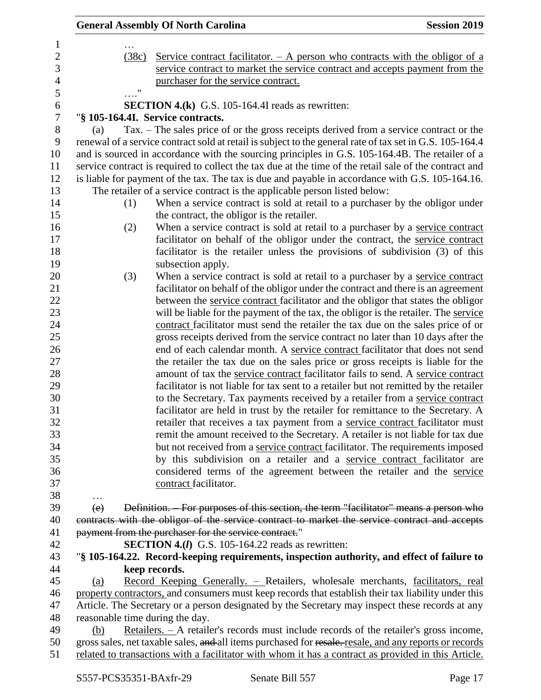|                                 | <b>General Assembly Of North Carolina</b>                                                                                                                                              | <b>Session 2019</b> |
|---------------------------------|----------------------------------------------------------------------------------------------------------------------------------------------------------------------------------------|---------------------|
|                                 |                                                                                                                                                                                        |                     |
| (38c)                           | Service contract facilitator. $-$ A person who contracts with the obligor of a                                                                                                         |                     |
|                                 | service contract to market the service contract and accepts payment from the                                                                                                           |                     |
| $\ldots$ "                      | purchaser for the service contract.                                                                                                                                                    |                     |
|                                 | <b>SECTION 4.(k)</b> G.S. 105-164.4I reads as rewritten:                                                                                                                               |                     |
|                                 | "§ 105-164.4I. Service contracts.                                                                                                                                                      |                     |
| (a)                             | Tax. – The sales price of or the gross receipts derived from a service contract or the                                                                                                 |                     |
|                                 | renewal of a service contract sold at retail is subject to the general rate of tax set in G.S. 105-164.4                                                                               |                     |
|                                 | and is sourced in accordance with the sourcing principles in G.S. 105-164.4B. The retailer of a                                                                                        |                     |
|                                 | service contract is required to collect the tax due at the time of the retail sale of the contract and                                                                                 |                     |
|                                 | is liable for payment of the tax. The tax is due and payable in accordance with G.S. 105-164.16.                                                                                       |                     |
|                                 | The retailer of a service contract is the applicable person listed below:                                                                                                              |                     |
| (1)                             | When a service contract is sold at retail to a purchaser by the obligor under                                                                                                          |                     |
|                                 | the contract, the obligor is the retailer.                                                                                                                                             |                     |
| (2)                             | When a service contract is sold at retail to a purchaser by a service contract                                                                                                         |                     |
|                                 | facilitator on behalf of the obligor under the contract, the service contract                                                                                                          |                     |
|                                 | facilitator is the retailer unless the provisions of subdivision (3) of this                                                                                                           |                     |
|                                 | subsection apply.                                                                                                                                                                      |                     |
| (3)                             | When a service contract is sold at retail to a purchaser by a service contract                                                                                                         |                     |
|                                 | facilitator on behalf of the obligor under the contract and there is an agreement                                                                                                      |                     |
|                                 | between the service contract facilitator and the obligor that states the obligor                                                                                                       |                     |
|                                 | will be liable for the payment of the tax, the obligor is the retailer. The service                                                                                                    |                     |
|                                 | contract facilitator must send the retailer the tax due on the sales price of or                                                                                                       |                     |
|                                 | gross receipts derived from the service contract no later than 10 days after the                                                                                                       |                     |
|                                 | end of each calendar month. A service contract facilitator that does not send                                                                                                          |                     |
|                                 | the retailer the tax due on the sales price or gross receipts is liable for the                                                                                                        |                     |
|                                 | amount of tax the service contract facilitator fails to send. A service contract                                                                                                       |                     |
|                                 | facilitator is not liable for tax sent to a retailer but not remitted by the retailer                                                                                                  |                     |
|                                 | to the Secretary. Tax payments received by a retailer from a service contract                                                                                                          |                     |
|                                 | facilitator are held in trust by the retailer for remittance to the Secretary. A                                                                                                       |                     |
|                                 | retailer that receives a tax payment from a service contract facilitator must                                                                                                          |                     |
|                                 | remit the amount received to the Secretary. A retailer is not liable for tax due                                                                                                       |                     |
|                                 | but not received from a service contract facilitator. The requirements imposed                                                                                                         |                     |
|                                 | by this subdivision on a retailer and a service contract facilitator are                                                                                                               |                     |
|                                 | considered terms of the agreement between the retailer and the service                                                                                                                 |                     |
|                                 | contract facilitator.                                                                                                                                                                  |                     |
| .                               |                                                                                                                                                                                        |                     |
| (e)                             | Definition. - For purposes of this section, the term "facilitator" means a person who<br>contracts with the obligor of the service contract to market the service contract and accepts |                     |
|                                 | payment from the purchaser for the service contract."                                                                                                                                  |                     |
|                                 | <b>SECTION 4.(I)</b> G.S. 105-164.22 reads as rewritten:                                                                                                                               |                     |
|                                 | "§ 105-164.22. Record-keeping requirements, inspection authority, and effect of failure to                                                                                             |                     |
|                                 | keep records.                                                                                                                                                                          |                     |
| (a)                             | Record Keeping Generally. – Retailers, wholesale merchants, facilitators, real                                                                                                         |                     |
|                                 | property contractors, and consumers must keep records that establish their tax liability under this                                                                                    |                     |
|                                 | Article. The Secretary or a person designated by the Secretary may inspect these records at any                                                                                        |                     |
| reasonable time during the day. |                                                                                                                                                                                        |                     |
| (b)                             | <u>Retailers.</u> - A retailer's records must include records of the retailer's gross income,                                                                                          |                     |
|                                 | gross sales, net taxable sales, and all items purchased for resale. resale, and any reports or records                                                                                 |                     |
|                                 | related to transactions with a facilitator with whom it has a contract as provided in this Article.                                                                                    |                     |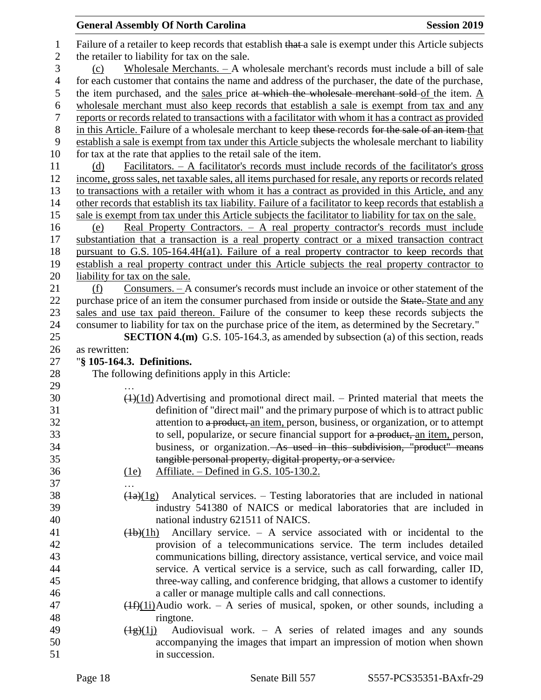## **General Assembly Of North Carolina Session 2019 Session 2019** 1 Failure of a retailer to keep records that establish that a sale is exempt under this Article subjects the retailer to liability for tax on the sale. (c) Wholesale Merchants. – A wholesale merchant's records must include a bill of sale for each customer that contains the name and address of the purchaser, the date of the purchase, 5 the item purchased, and the sales price at which the wholesale merchant sold of the item. A wholesale merchant must also keep records that establish a sale is exempt from tax and any reports or records related to transactions with a facilitator with whom it has a contract as provided 8 in this Article. Failure of a wholesale merchant to keep these-records for the sale of an item-that establish a sale is exempt from tax under this Article subjects the wholesale merchant to liability for tax at the rate that applies to the retail sale of the item. (d) Facilitators. – A facilitator's records must include records of the facilitator's gross income, gross sales, net taxable sales, all items purchased for resale, any reports or records related to transactions with a retailer with whom it has a contract as provided in this Article, and any other records that establish its tax liability. Failure of a facilitator to keep records that establish a sale is exempt from tax under this Article subjects the facilitator to liability for tax on the sale. (e) Real Property Contractors. – A real property contractor's records must include substantiation that a transaction is a real property contract or a mixed transaction contract pursuant to G.S. 105-164.4H(a1). Failure of a real property contractor to keep records that establish a real property contract under this Article subjects the real property contractor to liability for tax on the sale. (f) Consumers. – A consumer's records must include an invoice or other statement of the 22 purchase price of an item the consumer purchased from inside or outside the State. State and any sales and use tax paid thereon. Failure of the consumer to keep these records subjects the consumer to liability for tax on the purchase price of the item, as determined by the Secretary." **SECTION 4.(m)** G.S. 105-164.3, as amended by subsection (a) of this section, reads as rewritten: "**§ 105-164.3. Definitions.** The following definitions apply in this Article: …  $30 \left(1\right)(1d)$  Advertising and promotional direct mail. – Printed material that meets the definition of "direct mail" and the primary purpose of which is to attract public 32 attention to a product, an item, person, business, or organization, or to attempt 33 to sell, popularize, or secure financial support for a product, an item, person, business, or organization. As used in this subdivision, "product" means tangible personal property, digital property, or a service. (1e) Affiliate. – Defined in G.S. 105-130.2. …  $\frac{(1a)(1g)}{g}$  Analytical services. – Testing laboratories that are included in national industry 541380 of NAICS or medical laboratories that are included in national industry 621511 of NAICS.  $(1b)(1h)$  Ancillary service. – A service associated with or incidental to the provision of a telecommunications service. The term includes detailed communications billing, directory assistance, vertical service, and voice mail service. A vertical service is a service, such as call forwarding, caller ID, three-way calling, and conference bridging, that allows a customer to identify

### a caller or manage multiple calls and call connections. 47  $(H)(1i)$ Audio work. – A series of musical, spoken, or other sounds, including a ringtone.

### 49  $(\frac{1}{2})(1)$  Audiovisual work. – A series of related images and any sounds accompanying the images that impart an impression of motion when shown in succession.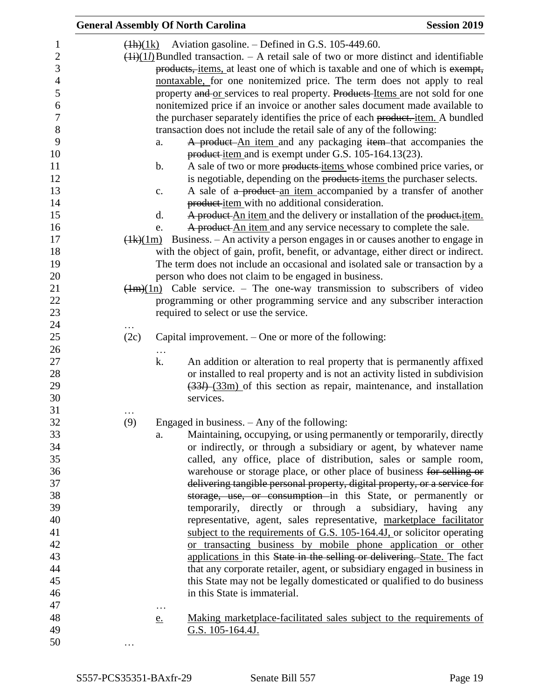|                  |      | <b>General Assembly Of North Carolina</b>                                                                                                  | <b>Session 2019</b> |
|------------------|------|--------------------------------------------------------------------------------------------------------------------------------------------|---------------------|
| 1                |      | $(Hh)(1k)$ Aviation gasoline. – Defined in G.S. 105-449.60.                                                                                |                     |
| $\overline{2}$   |      | $\frac{(\{i\})}{(1)}$ Bundled transaction. – A retail sale of two or more distinct and identifiable                                        |                     |
| 3                |      | products, items, at least one of which is taxable and one of which is exempt,                                                              |                     |
| $\overline{4}$   |      | nontaxable, for one nonitemized price. The term does not apply to real                                                                     |                     |
| 5                |      | property and or services to real property. Products Items are not sold for one                                                             |                     |
| 6                |      | nonitemized price if an invoice or another sales document made available to                                                                |                     |
| $\boldsymbol{7}$ |      | the purchaser separately identifies the price of each product.-item. A bundled                                                             |                     |
| 8                |      | transaction does not include the retail sale of any of the following:                                                                      |                     |
| 9                |      | A product An item and any packaging item that accompanies the<br>a.                                                                        |                     |
| 10               |      | product-item and is exempt under G.S. 105-164.13(23).                                                                                      |                     |
| 11               |      | $\mathbf b$ .<br>A sale of two or more products items whose combined price varies, or                                                      |                     |
| 12               |      | is negotiable, depending on the products items the purchaser selects.                                                                      |                     |
| 13               |      | A sale of a product an item accompanied by a transfer of another<br>c.                                                                     |                     |
| 14               |      | product-item with no additional consideration.                                                                                             |                     |
| 15               |      | A product An item and the delivery or installation of the product-item.<br>$\mathbf{d}$ .                                                  |                     |
| 16               |      | A product An item and any service necessary to complete the sale.<br>e.                                                                    |                     |
| 17               |      | $\frac{4k(1m)}{2}$ Business. – An activity a person engages in or causes another to engage in                                              |                     |
| 18               |      | with the object of gain, profit, benefit, or advantage, either direct or indirect.                                                         |                     |
| 19               |      | The term does not include an occasional and isolated sale or transaction by a                                                              |                     |
| 20               |      | person who does not claim to be engaged in business.                                                                                       |                     |
| 21               |      | $(\frac{1}{m})(1n)$ Cable service. – The one-way transmission to subscribers of video                                                      |                     |
| 22               |      | programming or other programming service and any subscriber interaction                                                                    |                     |
| 23               |      | required to select or use the service.                                                                                                     |                     |
| 24               |      |                                                                                                                                            |                     |
| 25               | (2c) | Capital improvement. $-$ One or more of the following:                                                                                     |                     |
| 26               |      |                                                                                                                                            |                     |
| 27               |      | k.<br>An addition or alteration to real property that is permanently affixed                                                               |                     |
| 28               |      | or installed to real property and is not an activity listed in subdivision                                                                 |                     |
| 29               |      | $(334)$ $(33m)$ of this section as repair, maintenance, and installation                                                                   |                     |
| 30               |      | services.                                                                                                                                  |                     |
| 31               |      |                                                                                                                                            |                     |
| 32               | (9)  | Engaged in business. $-$ Any of the following:                                                                                             |                     |
| 33               |      | Maintaining, occupying, or using permanently or temporarily, directly<br>a.                                                                |                     |
| 34               |      | or indirectly, or through a subsidiary or agent, by whatever name                                                                          |                     |
| 35<br>36         |      | called, any office, place of distribution, sales or sample room,                                                                           |                     |
| 37               |      | warehouse or storage place, or other place of business for selling or                                                                      |                     |
| 38               |      | delivering tangible personal property, digital property, or a service for<br>storage, use, or consumption in this State, or permanently or |                     |
| 39               |      | temporarily, directly or through a subsidiary, having any                                                                                  |                     |
| 40               |      | representative, agent, sales representative, marketplace facilitator                                                                       |                     |
| 41               |      | subject to the requirements of G.S. 105-164.4J, or solicitor operating                                                                     |                     |
| 42               |      | or transacting business by mobile phone application or other                                                                               |                     |
| 43               |      | applications in this State in the selling or delivering. State. The fact                                                                   |                     |
| 44               |      | that any corporate retailer, agent, or subsidiary engaged in business in                                                                   |                     |
| 45               |      | this State may not be legally domesticated or qualified to do business                                                                     |                     |
| 46               |      | in this State is immaterial.                                                                                                               |                     |
| 47               |      |                                                                                                                                            |                     |
| 48               |      | $\cdots$<br>Making marketplace-facilitated sales subject to the requirements of<br>e.                                                      |                     |
| 49               |      | G.S. 105-164.4J.                                                                                                                           |                     |
| 50               |      |                                                                                                                                            |                     |
|                  |      |                                                                                                                                            |                     |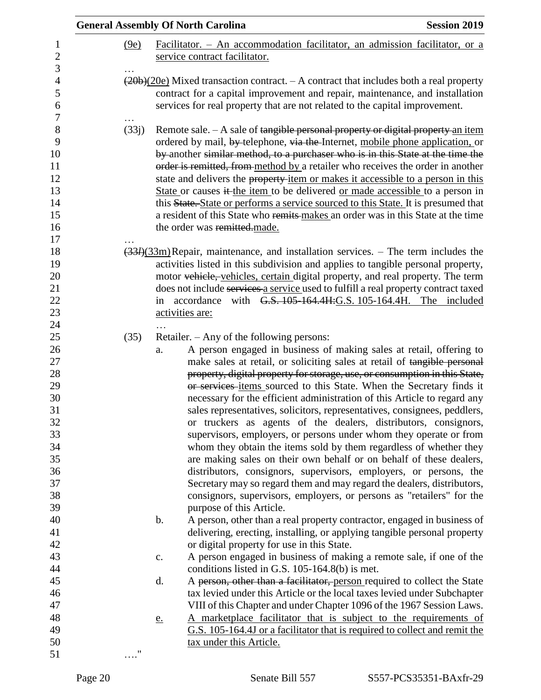|                   | <b>General Assembly Of North Carolina</b><br><b>Session 2019</b>                                                                                                                                                                                                                                                                                                                                                                                                                                                                                                                                                                                                                                                                                                                                                                                                                                                                                                                                                                  |  |
|-------------------|-----------------------------------------------------------------------------------------------------------------------------------------------------------------------------------------------------------------------------------------------------------------------------------------------------------------------------------------------------------------------------------------------------------------------------------------------------------------------------------------------------------------------------------------------------------------------------------------------------------------------------------------------------------------------------------------------------------------------------------------------------------------------------------------------------------------------------------------------------------------------------------------------------------------------------------------------------------------------------------------------------------------------------------|--|
| (9e)              | Facilitator. $-$ An accommodation facilitator, an admission facilitator, or a                                                                                                                                                                                                                                                                                                                                                                                                                                                                                                                                                                                                                                                                                                                                                                                                                                                                                                                                                     |  |
|                   | service contract facilitator.                                                                                                                                                                                                                                                                                                                                                                                                                                                                                                                                                                                                                                                                                                                                                                                                                                                                                                                                                                                                     |  |
|                   | $\left(\frac{20b}{20c}\right)$ Mixed transaction contract. – A contract that includes both a real property<br>contract for a capital improvement and repair, maintenance, and installation<br>services for real property that are not related to the capital improvement.                                                                                                                                                                                                                                                                                                                                                                                                                                                                                                                                                                                                                                                                                                                                                         |  |
| (33j)             | Remote sale. - A sale of tangible personal property or digital property an item<br>ordered by mail, by telephone, via the Internet, mobile phone application, or<br>by another similar method, to a purchaser who is in this State at the time the<br>order is remitted, from method by a retailer who receives the order in another<br>state and delivers the property-item or makes it accessible to a person in this<br>State or causes it the item to be delivered or made accessible to a person in<br>this State. State or performs a service sourced to this State. It is presumed that<br>a resident of this State who remits-makes an order was in this State at the time<br>the order was remitted made.                                                                                                                                                                                                                                                                                                                |  |
|                   | $\frac{33}{9}(33m)$ Repair, maintenance, and installation services. – The term includes the<br>activities listed in this subdivision and applies to tangible personal property,<br>motor vehicle, vehicles, certain digital property, and real property. The term<br>does not include services a service used to fulfill a real property contract taxed<br>in accordance with G.S. 105-164.4H:G.S. 105-164.4H. The included<br>activities are:                                                                                                                                                                                                                                                                                                                                                                                                                                                                                                                                                                                    |  |
| (35)              | Retailer. $-$ Any of the following persons:<br>A person engaged in business of making sales at retail, offering to<br>a.<br>make sales at retail, or soliciting sales at retail of tangible personal<br>property, digital property for storage, use, or consumption in this State,<br>or services items sourced to this State. When the Secretary finds it<br>necessary for the efficient administration of this Article to regard any<br>sales representatives, solicitors, representatives, consignees, peddlers,<br>or truckers as agents of the dealers, distributors, consignors,<br>supervisors, employers, or persons under whom they operate or from<br>whom they obtain the items sold by them regardless of whether they<br>are making sales on their own behalf or on behalf of these dealers,<br>distributors, consignors, supervisors, employers, or persons, the<br>Secretary may so regard them and may regard the dealers, distributors,<br>consignors, supervisors, employers, or persons as "retailers" for the |  |
|                   | purpose of this Article.<br>A person, other than a real property contractor, engaged in business of<br>$\mathbf b$ .<br>delivering, erecting, installing, or applying tangible personal property<br>or digital property for use in this State.<br>A person engaged in business of making a remote sale, if one of the<br>c.<br>conditions listed in G.S. 105-164.8(b) is met.                                                                                                                                                                                                                                                                                                                                                                                                                                                                                                                                                                                                                                                     |  |
|                   | A person, other than a facilitator, person required to collect the State<br>d.<br>tax levied under this Article or the local taxes levied under Subchapter<br>VIII of this Chapter and under Chapter 1096 of the 1967 Session Laws.<br>A marketplace facilitator that is subject to the requirements of<br>e.<br>G.S. 105-164.4J or a facilitator that is required to collect and remit the                                                                                                                                                                                                                                                                                                                                                                                                                                                                                                                                                                                                                                       |  |
| $^{\prime\prime}$ | tax under this Article.                                                                                                                                                                                                                                                                                                                                                                                                                                                                                                                                                                                                                                                                                                                                                                                                                                                                                                                                                                                                           |  |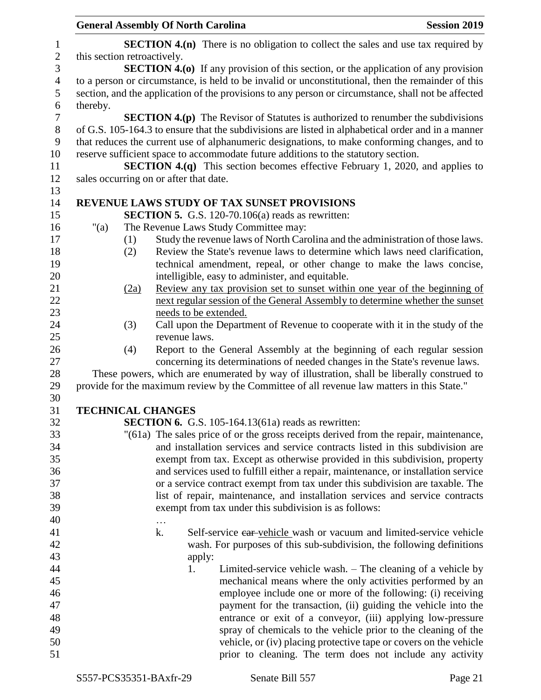|                  |                             |      | <b>General Assembly Of North Carolina</b>                                                                                                                               | <b>Session 2019</b> |
|------------------|-----------------------------|------|-------------------------------------------------------------------------------------------------------------------------------------------------------------------------|---------------------|
| 1                |                             |      | <b>SECTION 4.(n)</b> There is no obligation to collect the sales and use tax required by                                                                                |                     |
| $\overline{c}$   | this section retroactively. |      |                                                                                                                                                                         |                     |
| 3                |                             |      | <b>SECTION 4.(0)</b> If any provision of this section, or the application of any provision                                                                              |                     |
| $\overline{4}$   |                             |      | to a person or circumstance, is held to be invalid or unconstitutional, then the remainder of this                                                                      |                     |
| 5                |                             |      | section, and the application of the provisions to any person or circumstance, shall not be affected                                                                     |                     |
| 6                | thereby.                    |      |                                                                                                                                                                         |                     |
| $\boldsymbol{7}$ |                             |      | <b>SECTION 4.(p)</b> The Revisor of Statutes is authorized to renumber the subdivisions                                                                                 |                     |
| $\,8\,$          |                             |      | of G.S. 105-164.3 to ensure that the subdivisions are listed in alphabetical order and in a manner                                                                      |                     |
| 9                |                             |      | that reduces the current use of alphanumeric designations, to make conforming changes, and to                                                                           |                     |
| 10               |                             |      | reserve sufficient space to accommodate future additions to the statutory section.                                                                                      |                     |
| 11               |                             |      | <b>SECTION 4.(q)</b> This section becomes effective February 1, 2020, and applies to                                                                                    |                     |
| 12               |                             |      | sales occurring on or after that date.                                                                                                                                  |                     |
| 13               |                             |      |                                                                                                                                                                         |                     |
| 14               |                             |      | REVENUE LAWS STUDY OF TAX SUNSET PROVISIONS                                                                                                                             |                     |
| 15               |                             |      | <b>SECTION 5.</b> G.S. 120-70.106(a) reads as rewritten:                                                                                                                |                     |
| 16               | " $(a)$                     |      | The Revenue Laws Study Committee may:                                                                                                                                   |                     |
| 17               |                             | (1)  | Study the revenue laws of North Carolina and the administration of those laws.                                                                                          |                     |
| 18               |                             | (2)  | Review the State's revenue laws to determine which laws need clarification,                                                                                             |                     |
| 19               |                             |      | technical amendment, repeal, or other change to make the laws concise,                                                                                                  |                     |
| 20               |                             |      | intelligible, easy to administer, and equitable.                                                                                                                        |                     |
| 21               |                             | (2a) | Review any tax provision set to sunset within one year of the beginning of                                                                                              |                     |
| 22               |                             |      | next regular session of the General Assembly to determine whether the sunset                                                                                            |                     |
| 23               |                             |      | needs to be extended.                                                                                                                                                   |                     |
| 24               |                             | (3)  | Call upon the Department of Revenue to cooperate with it in the study of the                                                                                            |                     |
| 25               |                             |      | revenue laws.                                                                                                                                                           |                     |
| 26               |                             | (4)  | Report to the General Assembly at the beginning of each regular session                                                                                                 |                     |
| 27               |                             |      | concerning its determinations of needed changes in the State's revenue laws.                                                                                            |                     |
| 28               |                             |      | These powers, which are enumerated by way of illustration, shall be liberally construed to                                                                              |                     |
| 29               |                             |      | provide for the maximum review by the Committee of all revenue law matters in this State."                                                                              |                     |
| 30               |                             |      |                                                                                                                                                                         |                     |
| 31               |                             |      | <b>TECHNICAL CHANGES</b>                                                                                                                                                |                     |
| 32               |                             |      | <b>SECTION 6.</b> G.S. 105-164.13(61a) reads as rewritten:                                                                                                              |                     |
| 33               |                             |      | "(61a) The sales price of or the gross receipts derived from the repair, maintenance,<br>and installation services and service contracts listed in this subdivision are |                     |
| 34<br>35         |                             |      |                                                                                                                                                                         |                     |
| 36               |                             |      | exempt from tax. Except as otherwise provided in this subdivision, property<br>and services used to fulfill either a repair, maintenance, or installation service       |                     |
| 37               |                             |      | or a service contract exempt from tax under this subdivision are taxable. The                                                                                           |                     |
| 38               |                             |      | list of repair, maintenance, and installation services and service contracts                                                                                            |                     |
| 39               |                             |      | exempt from tax under this subdivision is as follows:                                                                                                                   |                     |
| 40               |                             |      |                                                                                                                                                                         |                     |
| 41               |                             |      | $\cdots$<br>Self-service ear-vehicle wash or vacuum and limited-service vehicle<br>k.                                                                                   |                     |
| 42               |                             |      | wash. For purposes of this sub-subdivision, the following definitions                                                                                                   |                     |
| 43               |                             |      | apply:                                                                                                                                                                  |                     |
| 44               |                             |      | Limited-service vehicle wash. – The cleaning of a vehicle by<br>1.                                                                                                      |                     |
| 45               |                             |      | mechanical means where the only activities performed by an                                                                                                              |                     |
| 46               |                             |      | employee include one or more of the following: (i) receiving                                                                                                            |                     |
| 47               |                             |      | payment for the transaction, (ii) guiding the vehicle into the                                                                                                          |                     |
| 48               |                             |      | entrance or exit of a conveyor, (iii) applying low-pressure                                                                                                             |                     |
| 49               |                             |      | spray of chemicals to the vehicle prior to the cleaning of the                                                                                                          |                     |
| 50               |                             |      | vehicle, or (iv) placing protective tape or covers on the vehicle                                                                                                       |                     |
| 51               |                             |      | prior to cleaning. The term does not include any activity                                                                                                               |                     |